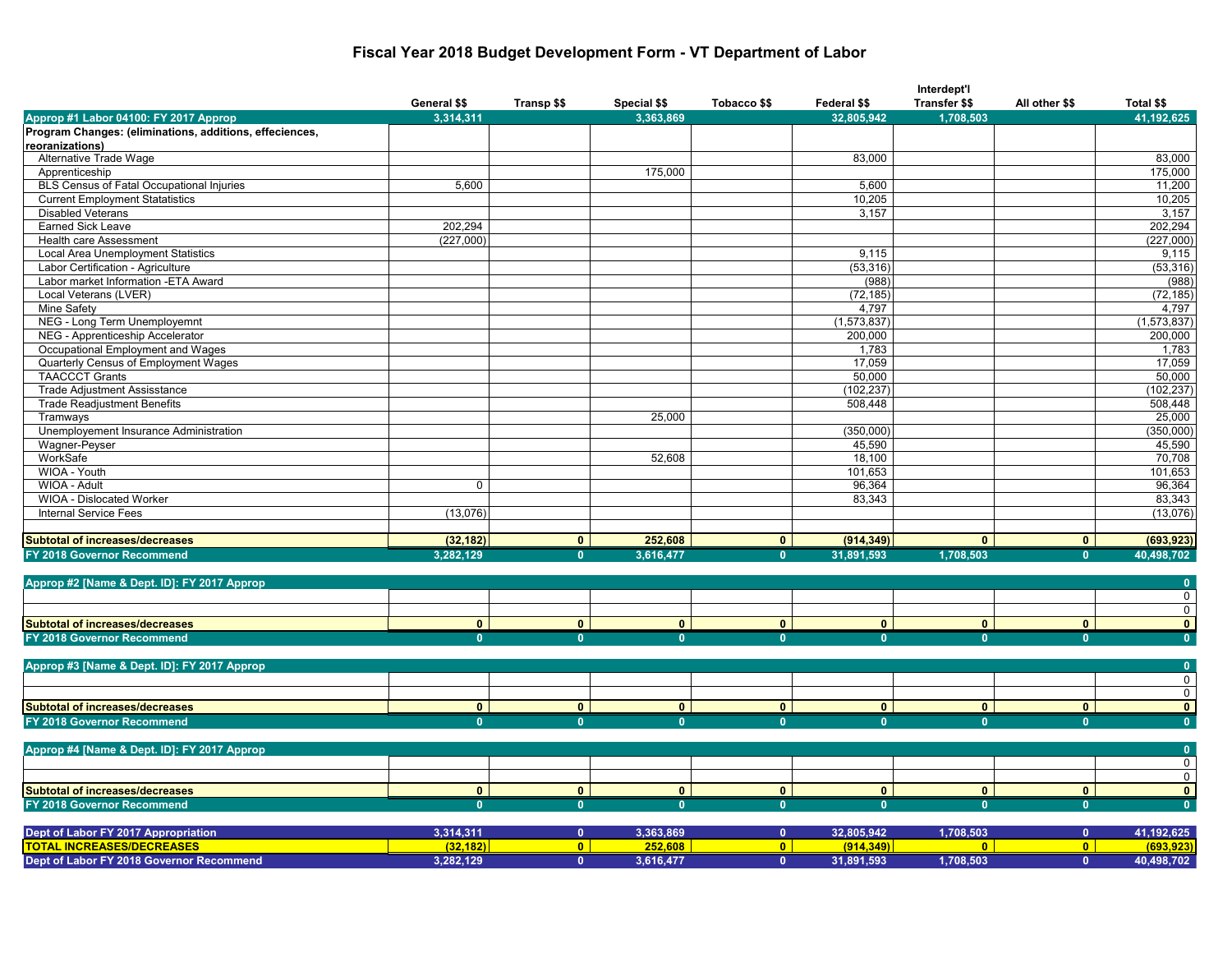### **Fiscal Year 2018 Budget Development Form - VT Department of Labor**

|                                                         |                |                |                |                |              | Interdept'l          |                |                         |
|---------------------------------------------------------|----------------|----------------|----------------|----------------|--------------|----------------------|----------------|-------------------------|
|                                                         | General \$\$   | Transp \$\$    | Special \$\$   | Tobacco \$\$   | Federal \$\$ | <b>Transfer \$\$</b> | All other \$\$ | Total \$\$              |
| Approp #1 Labor 04100: FY 2017 Approp                   | 3,314,311      |                | 3.363.869      |                | 32.805.942   | 1,708,503            |                | 41,192,625              |
| Program Changes: (eliminations, additions, effeciences, |                |                |                |                |              |                      |                |                         |
| reoranizations)                                         |                |                |                |                |              |                      |                |                         |
| Alternative Trade Wage                                  |                |                |                |                | 83,000       |                      |                | 83,000                  |
| Apprenticeship                                          |                |                | 175,000        |                |              |                      |                | 175,000                 |
| BLS Census of Fatal Occupational Injuries               | 5,600          |                |                |                | 5,600        |                      |                | 11,200                  |
| <b>Current Employment Statatistics</b>                  |                |                |                |                | 10,205       |                      |                | 10,205                  |
| <b>Disabled Veterans</b>                                |                |                |                |                | 3,157        |                      |                | 3,157                   |
| <b>Earned Sick Leave</b>                                | 202,294        |                |                |                |              |                      |                | 202,294                 |
| <b>Health care Assessment</b>                           | (227,000)      |                |                |                |              |                      |                | (227,000)               |
| Local Area Unemployment Statistics                      |                |                |                |                | 9,115        |                      |                | 9,115                   |
| Labor Certification - Agriculture                       |                |                |                |                | (53, 316)    |                      |                | (53, 316)               |
| Labor market Information - ETA Award                    |                |                |                |                | (988)        |                      |                | (988)                   |
| Local Veterans (LVER)                                   |                |                |                |                | (72, 185)    |                      |                | (72, 185)               |
| Mine Safety                                             |                |                |                |                | 4,797        |                      |                | 4,797                   |
| NEG - Long Term Unemployemnt                            |                |                |                |                | (1,573,837)  |                      |                | (1,573,837)             |
| NEG - Apprenticeship Accelerator                        |                |                |                |                | 200,000      |                      |                | 200,000                 |
| Occupational Employment and Wages                       |                |                |                |                | 1,783        |                      |                | 1,783                   |
| Quarterly Census of Employment Wages                    |                |                |                |                | 17,059       |                      |                | 17,059                  |
| <b>TAACCCT Grants</b>                                   |                |                |                |                | 50,000       |                      |                | 50,000                  |
| <b>Trade Adjustment Assisstance</b>                     |                |                |                |                | (102, 237)   |                      |                | (102, 237)              |
| <b>Trade Readjustment Benefits</b>                      |                |                |                |                | 508,448      |                      |                | 508,448                 |
| Tramways                                                |                |                | 25,000         |                |              |                      |                | 25,000                  |
| Unemployement Insurance Administration                  |                |                |                |                | (350,000)    |                      |                | (350,000)               |
| Wagner-Peyser                                           |                |                |                |                | 45,590       |                      |                | 45,590                  |
| WorkSafe                                                |                |                | 52,608         |                | 18,100       |                      |                | 70,708                  |
| WIOA - Youth                                            |                |                |                |                | 101,653      |                      |                | 101,653                 |
| WIOA - Adult                                            | $\mathbf 0$    |                |                |                | 96,364       |                      |                | 96,364                  |
| WIOA - Dislocated Worker                                |                |                |                |                | 83,343       |                      |                | 83,343                  |
| <b>Internal Service Fees</b>                            | (13,076)       |                |                |                |              |                      |                | (13,076)                |
|                                                         |                |                |                |                |              |                      |                |                         |
| <b>Subtotal of increases/decreases</b>                  | (32, 182)      | $\overline{0}$ | 252,608        | $\overline{0}$ | (914, 349)   | $\mathbf{0}$         | $\bullet$      | (693, 923)              |
| FY 2018 Governor Recommend                              | 3,282,129      | $\mathbf{0}$   | 3,616,477      | $\bf{0}$       | 31,891,593   | 1,708,503            | $\mathbf{0}$   | 40,498,702              |
|                                                         |                |                |                |                |              |                      |                |                         |
| Approp #2 [Name & Dept. ID]: FY 2017 Approp             |                |                |                |                |              |                      |                | $\overline{0}$          |
|                                                         |                |                |                |                |              |                      |                | $\Omega$                |
|                                                         |                |                |                |                |              |                      |                | $\mathbf 0$             |
| <b>Subtotal of increases/decreases</b>                  | $\overline{0}$ | $\overline{0}$ | $\overline{0}$ | $\overline{0}$ | $\mathbf{0}$ | $\overline{0}$       | $\overline{0}$ | $\mathbf{0}$            |
| FY 2018 Governor Recommend                              | $\mathbf{0}$   | $\mathbf{0}$   | $\mathbf{0}$   | 0              |              | $\mathbf{0}$         | $\mathbf{0}$   | $\overline{\mathbf{0}}$ |
|                                                         |                |                |                |                |              |                      |                |                         |
| Approp #3 [Name & Dept. ID]: FY 2017 Approp             |                |                |                |                |              |                      |                | $\mathbf{0}$            |
|                                                         |                |                |                |                |              |                      |                | $\mathbf 0$             |
|                                                         |                |                |                |                |              |                      |                | $\mathbf 0$             |
| <b>Subtotal of increases/decreases</b>                  | $\mathbf{0}$   | $\bullet$      | $\mathbf{0}$   | $\mathbf{0}$   | $\mathbf{0}$ | $\mathbf{0}$         | $\mathbf{0}$   | $\mathbf{0}$            |
| FY 2018 Governor Recommend                              | $\mathbf{0}$   | $\Omega$       | $\mathbf{0}$   | $\mathbf{0}$   | $\Omega$     | $\mathbf{0}$         | $\mathbf{0}$   | $\overline{0}$          |
|                                                         |                |                |                |                |              |                      |                |                         |
| Approp #4 [Name & Dept. ID]: FY 2017 Approp             |                |                |                |                |              |                      |                | $\mathbf{0}$            |
|                                                         |                |                |                |                |              |                      |                | $\mathbf 0$             |
|                                                         |                |                |                |                |              |                      |                | $\mathsf{O}$            |
| <b>Subtotal of increases/decreases</b>                  | $\mathbf{0}$   | $\mathbf{0}$   | $\mathbf{0}$   | $\mathbf{0}$   | $\mathbf{0}$ | $\mathbf{0}$         | $\mathbf{0}$   | $\mathbf{0}$            |
| FY 2018 Governor Recommend                              | $\overline{0}$ | $\mathbf{0}$   | $\overline{0}$ | $\mathbf{0}$   | $\mathbf{0}$ | $\mathbf{0}$         | $\mathbf{0}$   | $\overline{\mathbf{0}}$ |
|                                                         |                |                |                |                |              |                      |                |                         |
| Dept of Labor FY 2017 Appropriation                     | 3,314,311      | $\mathbf{0}$   | 3,363,869      | $\mathbf{0}$   | 32,805,942   | 1,708,503            | $\mathbf{0}$   | 41,192,625              |
| <b>TOTAL INCREASES/DECREASES</b>                        | (32.182)       | $\overline{0}$ | 252.608        | $\overline{0}$ | (914.349)    | $\mathbf{0}$         | $\overline{0}$ | (693.923)               |
| Dept of Labor FY 2018 Governor Recommend                | 3,282,129      | $\mathbf{0}$   | 3,616,477      | $\mathbf{0}$   | 31,891,593   | 1,708,503            | $\mathbf{0}$   | 40,498,702              |
|                                                         |                |                |                |                |              |                      |                |                         |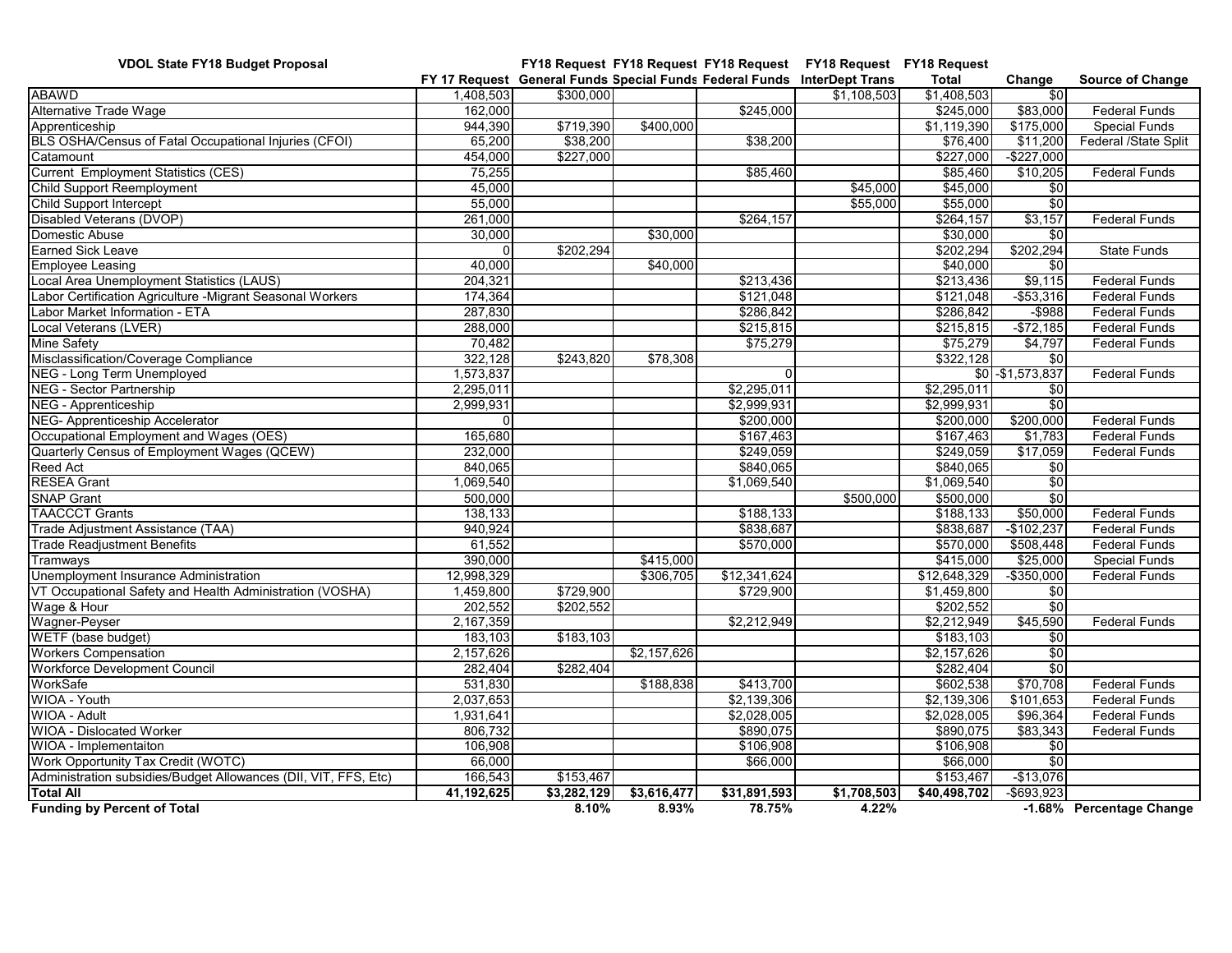**VDOL State FY18 Budget Proposal FY18 Request FY18 Request FY18 Request FY18 Request FY18 Request FY 17 Request General Funds Special Funds Federal Funds InterDept Trans Total Change Source of Change** ABAWD 1,408,503| \$300,000| | \$1,108,503| \$1,408,503| \$0 Alternative Trade Wage 162,000 162,000 162,000 162,000 162,000 583,000 583,000 Federal Funds Apprenticeship 944,390 \$719,390 \$400,000 \$1,119,390 \$175,000 Special Funds BLS OSHA/Census of Fatal Occupational Injuries (CFOI) 65,200 \$38,200 \$38,200 \$76,400 \$11,200 Federal /State Split Catamount 454,000 \$227,000 \$227,000 -\$227,000 Current Employment Statistics (CES)  $\overline{5,255}$  75,255  $\overline{8,255}$  75,255  $\overline{8,255}$  55,460 \$10,205 Federal Funds Child Support Reemployment 1988 1999 10 1000 10000 10000 10000 10000 10000 10000 10000 10000 10000 10000 10000<br>Child Support Intercept 1990 10000 10000 10000 10000 10000 10000 10000 10000 10000 10000 10000 10000 10000 100 Child Support Intercept 655,000  $\sim$  55,000  $\sim$  55,000 \$55,000 \$55,000 \$55,000 \$55,000 \$55,000 \$55,000 \$05,000 \$55,000 \$05,000 \$55,000 \$55,000 \$55,000 \$55,000 \$55,000 \$55,000 \$55,000 \$55,000 \$55,000 \$55,000 \$55,000 \$55,00 Disabled Veterans (DVOP) 261,000 261,000 **1 261,000** 5264,157 **\$264,157** \$3,157 \$3,157 Federal Funds Domestic Abuse 30,000 | | \$30,000 | \$30,000 | \$0 Earned Sick Leave 0 \$202,294 \$202,294 \$202,294 State Funds Employee Leasing 40,000 \$40,000 \$40,000 \$0 Local Area Unemployment Statistics (LAUS) 204,321 204,321 204,321 204,321 3213,436 \$213,436 \$213,436 \$9,115 Federal Funds abor Certification Agriculture -Migrant Seasonal Workers 174,364 \$121,048 \$121,048 \$121,048 \$53,316 Federal Funds<br>-abor Market Information - ETA Labor Market Information - ETA 287 ASS 287,830 287,830 **1987 1287 Federal Funds 10 ASS 286,842** -\$988 Federal Fund Local Veterans (LVER) 288,000| \$215,815 | \$215,815 | Federal Funds Mine Safety 70,482| \$75,279| \$75,279| \$4,797| Federal Funds Misclassification/Coverage Compliance 1980 1992, 128 \$22,128 \$243,820 \$78,308 \$322,128 \$322,128 \$00 \$322,128 \$0<br>NEG - Long Term Unemploved \$1,573,837 \$1,573,837 \$1,573,837 \$00 \$1,573,837 \$00 \$00 \$1,573,837 NEG - Long Term Unemployed and the contract of the 1,573,837 and the contract of the contract of the contract of the sol-\$1,573,837 Federal Funds NEG - Sector Partnership 2.295.011 \$0 NEG - Apprenticeship 32,999,931 6 2,999,931 2,999,931 52,999,931 52,999,931 52,999,931 52,999,931 52,000 5200,000<br>NEG- Apprenticeship Accelerator 6 2000,000 6 3200,000 5200,000 5200,000 5200,000 5200,000 5200,000 5200,000 NEG- Apprenticeship Accelerator **1990 and 1990 and 1990 and 1990 and 1990** \$200,000 \$200,000 \$200,000 Federal Funds Occupational Employment and Wages (OES) 165,680 **165,680** 165,680 **165,680 165,680** \$1,783 \$1,783 Federal Funds Quarterly Census of Employment Wages (QCEW)  $232,000$   $232,000$   $3249,059$   $37,059$  \$17,059  $37,059$  Federal Funds Reed Act 840,065| \$840,065| \$840,065| \$0 RESEA Grant 1,069,540 | \$1,069,540 | \$0 SNAP Grant 500,000 \$500,000 \$500,000 \$0 TAACCCT Grants 138,133 \$188,133 | \$50,000 Federal Funds Trade Adjustment Assistance (TAA) 940,924 \$838,687 \$838,687 -\$102,237 Federal Funds Trade Readjustment Benefits 61,552 \$570,000 \$570,000 \$508,448 Federal Funds Tramways 390,000 \$415,000 \$415,000 \$25,000 Special Funds Unemployment Insurance Administration 12,998,329 12,998,329 \$306,705 \$12,341,624 \$12,648,329 -\$350,000 Federal Funds VT Occupational Safety and Health Administration (VOSHA)  $1,459,800$   $$729,900$   $$729,900$   $$729,900$   $$1,459,800$   $$0$ Wage & Hour 202,552 \$202,552 \$202,552 \$0 Wagner-Peyser 2,167,359 \$2,212,949 \$2,212,949 \$45,590 Federal Funds WETF (base budget) 183,103 | \$183,103 | \$0 | \$0 | Workers Compensation 2,157,626 \$2,157,626 \$2,157,626 \$2,157,626 \$2,157,626 \$2,157,626 \$0 Workforce Development Council 2001 282,404 **\$282,404 \$282,404 \$282,404 \$0** and the state of the state of the state of the state of the state of the state of the state of the state of the state of the state of the state of WorkSafe 531,830 \$188,838 \$413,700 \$602,538 \$70,708 Federal Funds WIOA - Youth 2,037,653 \$2,139,306 \$2,139,306 \$101,653 Federal Funds WIOA - Adult 1,931,641| \$2,028,005| \$2,028,005| \$96,364| Federal Funds WIOA - Dislocated Worker **806,732** \$890,075 **\$890,075 \$890,075** \$83,343 Federal Funds WIOA - Implementaiton 106,908 \$106,908 \$106,908 \$0 Work Opportunity Tax Credit (WOTC) 66,000 \$66,000 \$66,000 \$0 Administration subsidies/Budget Allowances (DII, VIT, FFS, Etc) 166,543 \$153,467 \$153,467 \$153,076 \$153,076 **Total All 41,192,625 \$3,282,129 \$3,616,477 \$31,891,593 \$1,708,503 \$40,498,702** -\$693,923 **Funding by Percent of Total 8.10% 8.93% 78.75% 4.22% -1.68% Percentage Change**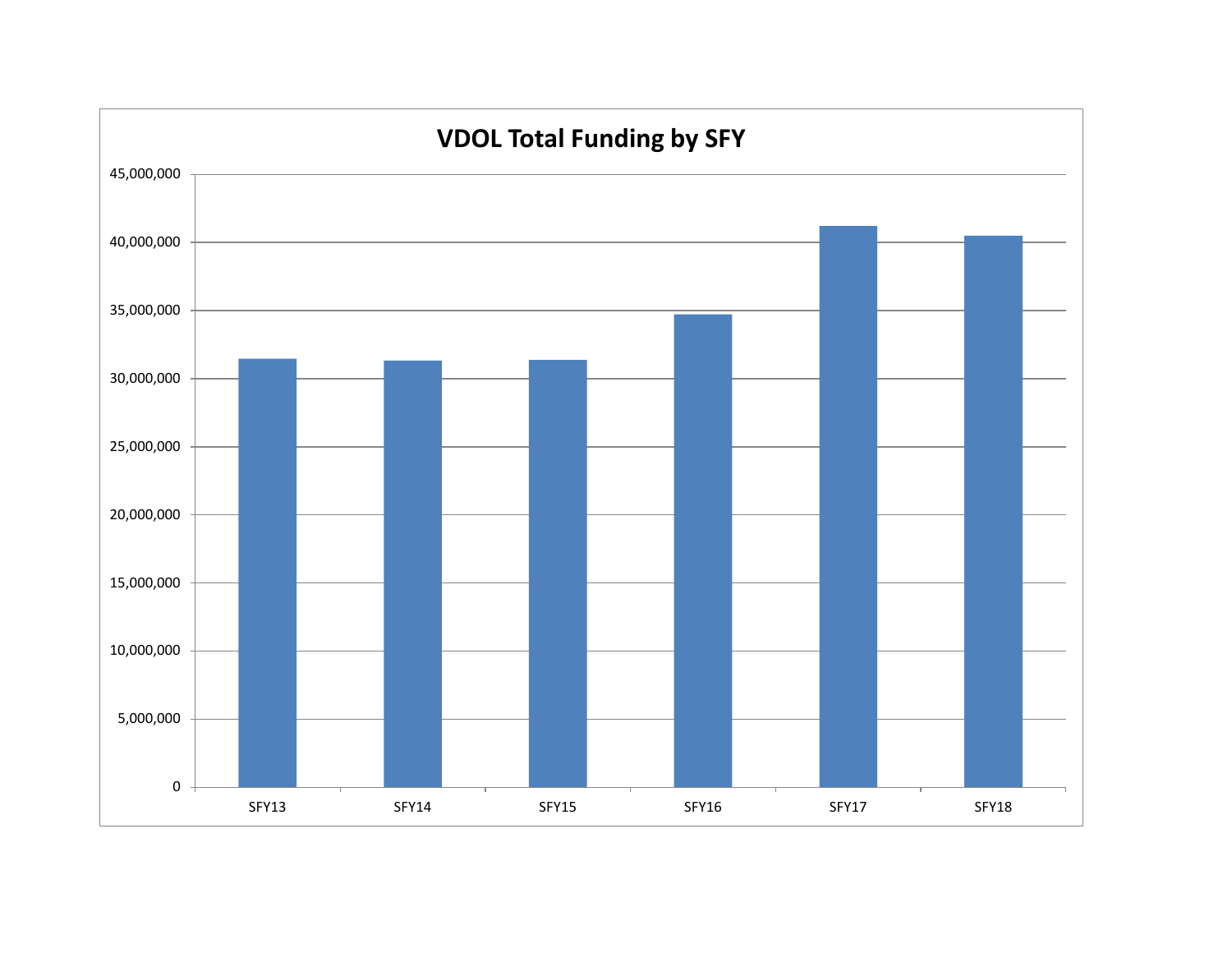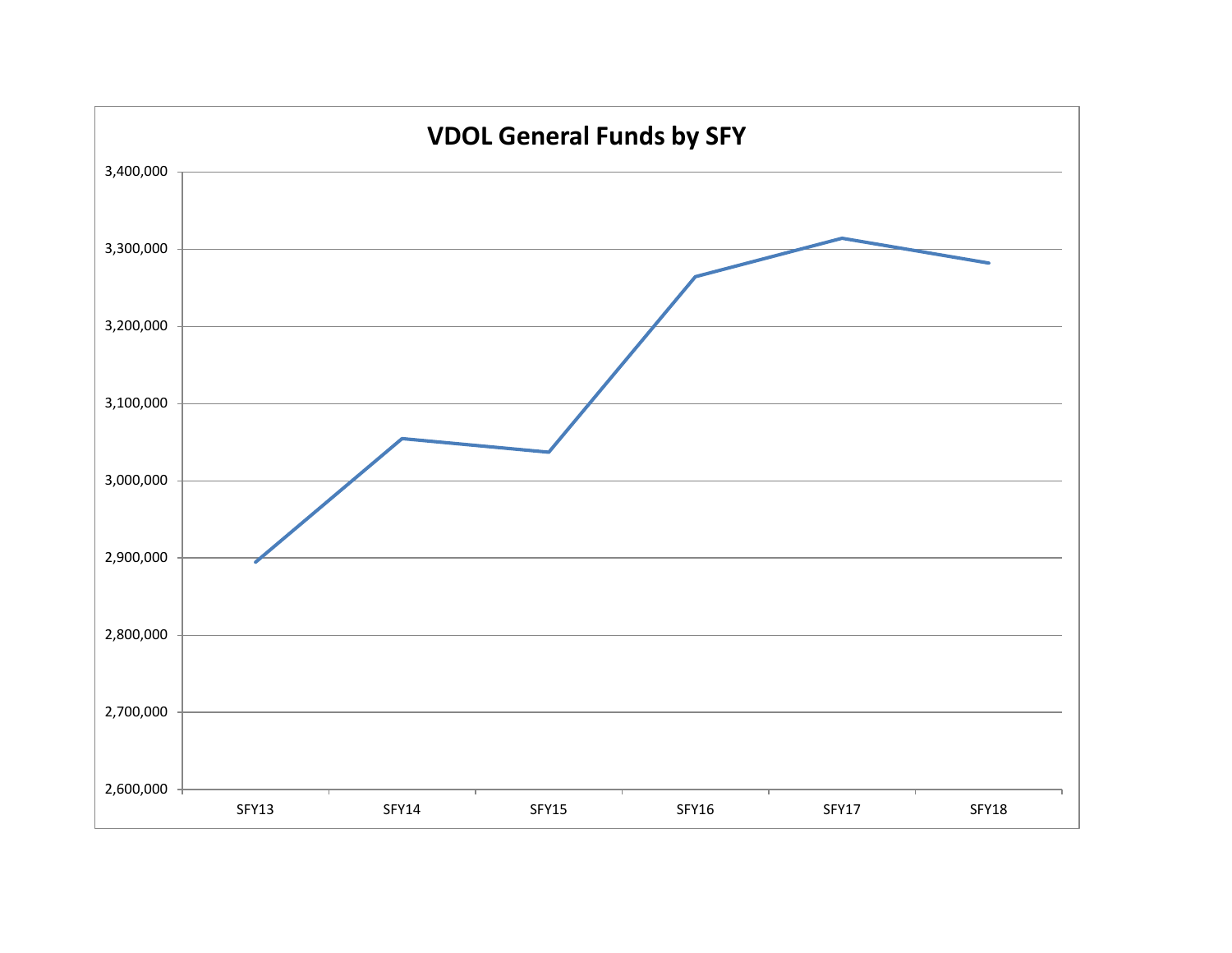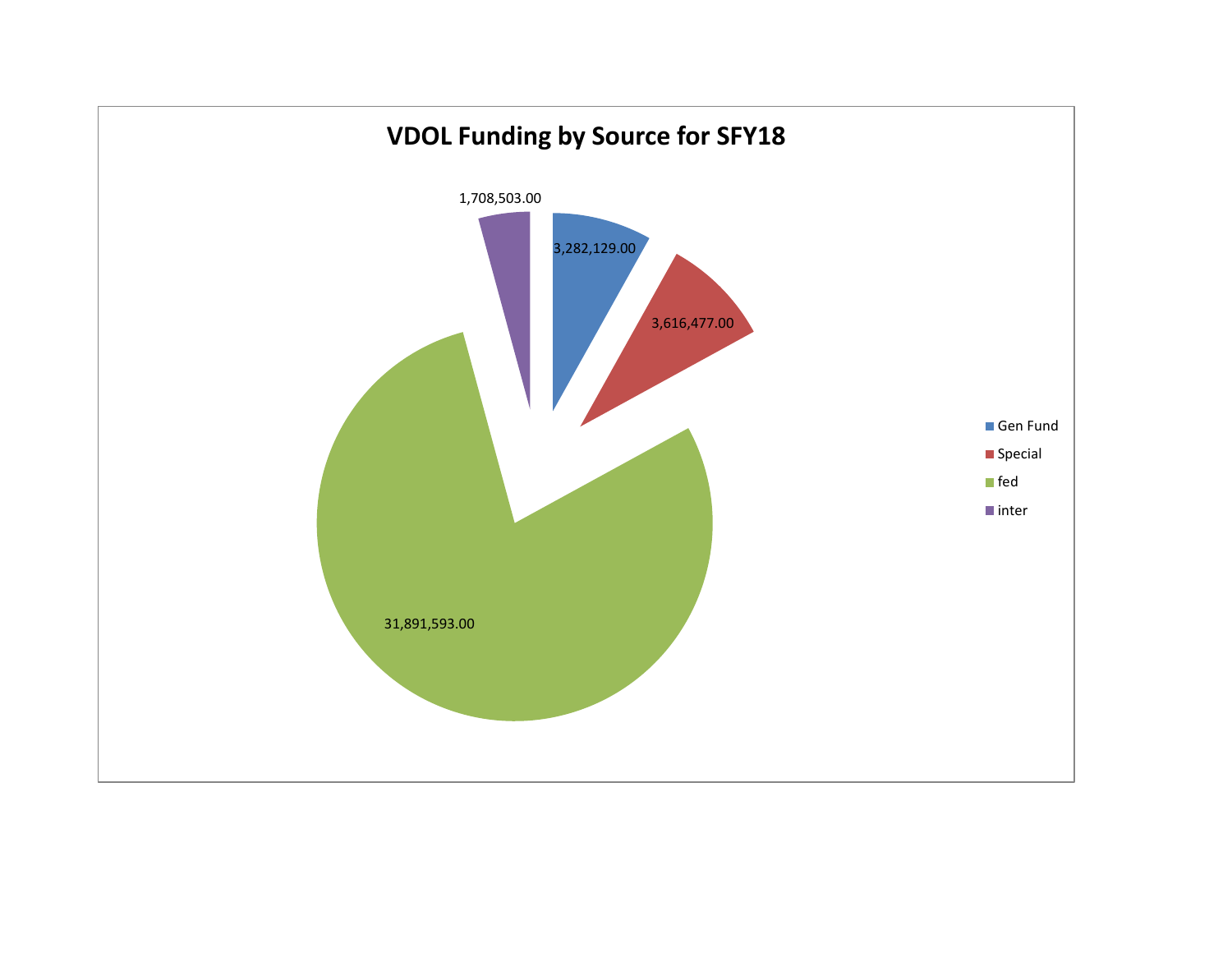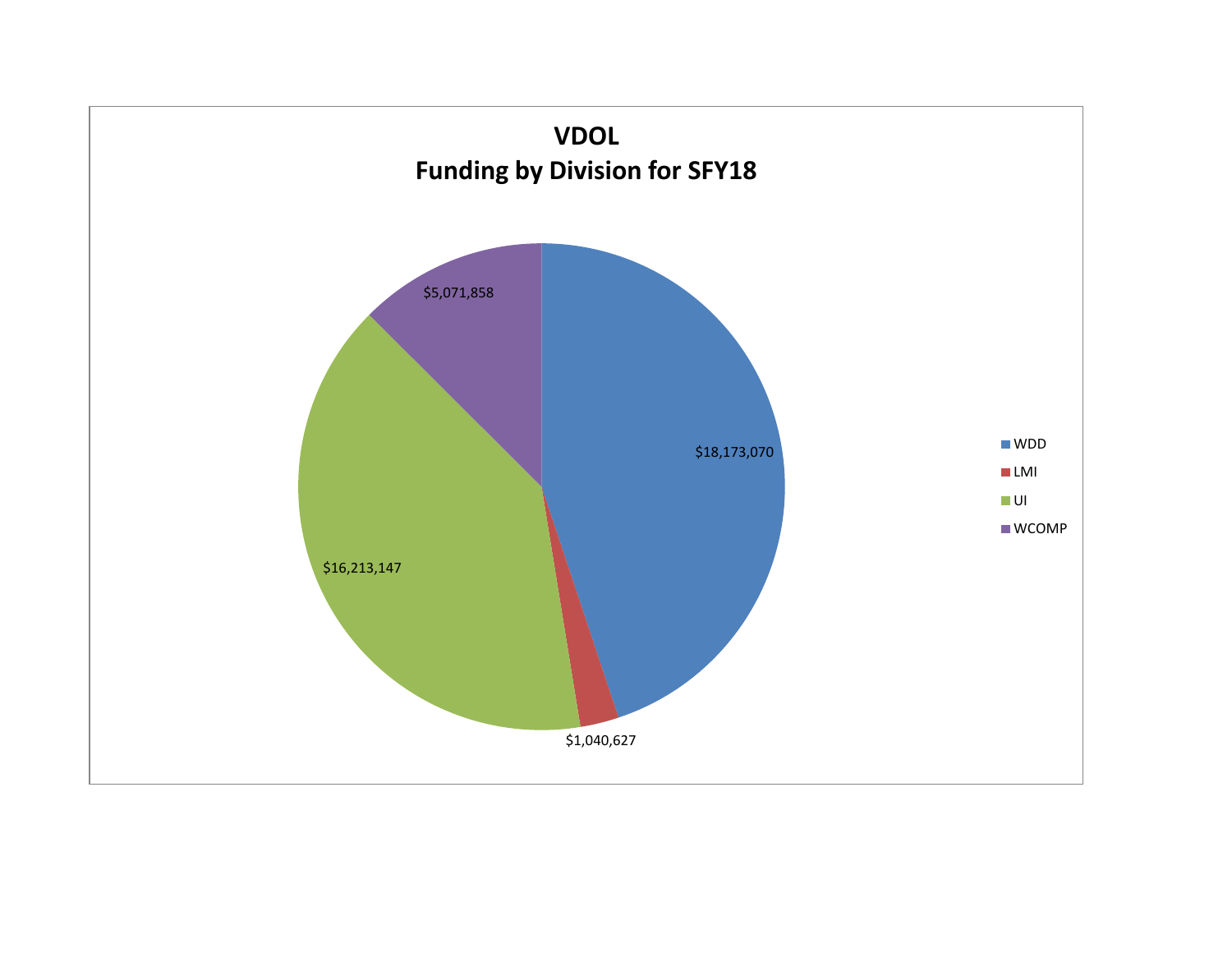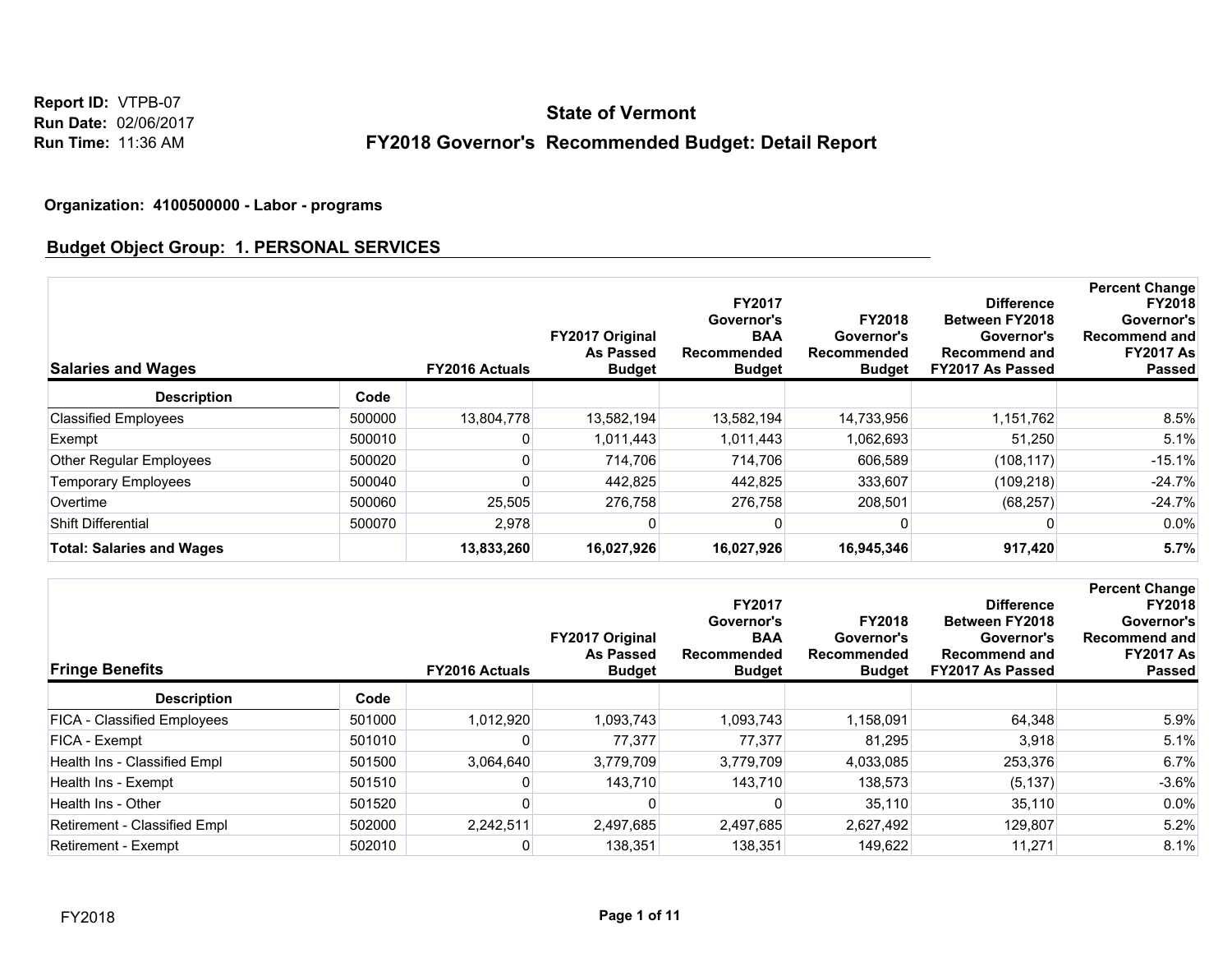**Report ID:** VTPB-07 **Run Date:** 02/06/2017 **Run Time:** 11:36 AM

# **FY2018 Governor's Recommended Budget: Detail Report State of Vermont**

#### **Organization: 4100500000 - Labor - programs**

### **Budget Object Group: 1. PERSONAL SERVICES**

| <b>Salaries and Wages</b>        |        | <b>FY2016 Actuals</b> | FY2017 Original<br><b>As Passed</b><br><b>Budget</b> | <b>FY2017</b><br>Governor's<br><b>BAA</b><br>Recommended<br><b>Budget</b> | <b>FY2018</b><br>Governor's<br>Recommended<br><b>Budget</b> | <b>Difference</b><br><b>Between FY2018</b><br>Governor's<br><b>Recommend and</b><br>FY2017 As Passed | <b>Percent Change</b><br><b>FY2018</b><br>Governor's<br><b>Recommend and</b><br><b>FY2017 As</b><br><b>Passed</b> |
|----------------------------------|--------|-----------------------|------------------------------------------------------|---------------------------------------------------------------------------|-------------------------------------------------------------|------------------------------------------------------------------------------------------------------|-------------------------------------------------------------------------------------------------------------------|
| <b>Description</b>               | Code   |                       |                                                      |                                                                           |                                                             |                                                                                                      |                                                                                                                   |
| <b>Classified Employees</b>      | 500000 | 13,804,778            | 13,582,194                                           | 13,582,194                                                                | 14,733,956                                                  | 1,151,762                                                                                            | 8.5%                                                                                                              |
| Exempt                           | 500010 |                       | 1,011,443                                            | 1,011,443                                                                 | 1,062,693                                                   | 51,250                                                                                               | 5.1%                                                                                                              |
| Other Regular Employees          | 500020 |                       | 714.706                                              | 714.706                                                                   | 606.589                                                     | (108, 117)                                                                                           | $-15.1%$                                                                                                          |
| <b>Temporary Employees</b>       | 500040 |                       | 442.825                                              | 442.825                                                                   | 333.607                                                     | (109, 218)                                                                                           | $-24.7%$                                                                                                          |
| Overtime                         | 500060 | 25.505                | 276.758                                              | 276.758                                                                   | 208,501                                                     | (68, 257)                                                                                            | $-24.7%$                                                                                                          |
| <b>Shift Differential</b>        | 500070 | 2,978                 |                                                      |                                                                           |                                                             |                                                                                                      | $0.0\%$                                                                                                           |
| <b>Total: Salaries and Wages</b> |        | 13,833,260            | 16,027,926                                           | 16,027,926                                                                | 16,945,346                                                  | 917,420                                                                                              | 5.7%                                                                                                              |

| <b>Fringe Benefits</b>             |        | <b>FY2016 Actuals</b> | <b>FY2017 Original</b><br><b>As Passed</b><br><b>Budget</b> | <b>FY2017</b><br>Governor's<br><b>BAA</b><br>Recommended<br><b>Budget</b> | <b>FY2018</b><br>Governor's<br>Recommended<br><b>Budget</b> | <b>Difference</b><br><b>Between FY2018</b><br>Governor's<br><b>Recommend and</b><br>FY2017 As Passed | <b>Percent Change</b><br><b>FY2018</b><br>Governor's<br><b>Recommend and</b><br><b>FY2017 As</b><br><b>Passed</b> |
|------------------------------------|--------|-----------------------|-------------------------------------------------------------|---------------------------------------------------------------------------|-------------------------------------------------------------|------------------------------------------------------------------------------------------------------|-------------------------------------------------------------------------------------------------------------------|
| <b>Description</b>                 | Code   |                       |                                                             |                                                                           |                                                             |                                                                                                      |                                                                                                                   |
| <b>FICA - Classified Employees</b> | 501000 | 1,012,920             | 1,093,743                                                   | 1,093,743                                                                 | 1,158,091                                                   | 64,348                                                                                               | 5.9%                                                                                                              |
| FICA - Exempt                      | 501010 |                       | 77,377                                                      | 77,377                                                                    | 81.295                                                      | 3,918                                                                                                | 5.1%                                                                                                              |
| Health Ins - Classified Empl       | 501500 | 3,064,640             | 3,779,709                                                   | 3,779,709                                                                 | 4,033,085                                                   | 253,376                                                                                              | 6.7%                                                                                                              |
| Health Ins - Exempt                | 501510 |                       | 143.710                                                     | 143.710                                                                   | 138.573                                                     | (5, 137)                                                                                             | $-3.6%$                                                                                                           |
| Health Ins - Other                 | 501520 |                       |                                                             |                                                                           | 35,110                                                      | 35,110                                                                                               | 0.0%                                                                                                              |
| Retirement - Classified Empl       | 502000 | 2,242,511             | 2,497,685                                                   | 2,497,685                                                                 | 2,627,492                                                   | 129,807                                                                                              | 5.2%                                                                                                              |
| Retirement - Exempt                | 502010 |                       | 138,351                                                     | 138,351                                                                   | 149,622                                                     | 11,271                                                                                               | 8.1%                                                                                                              |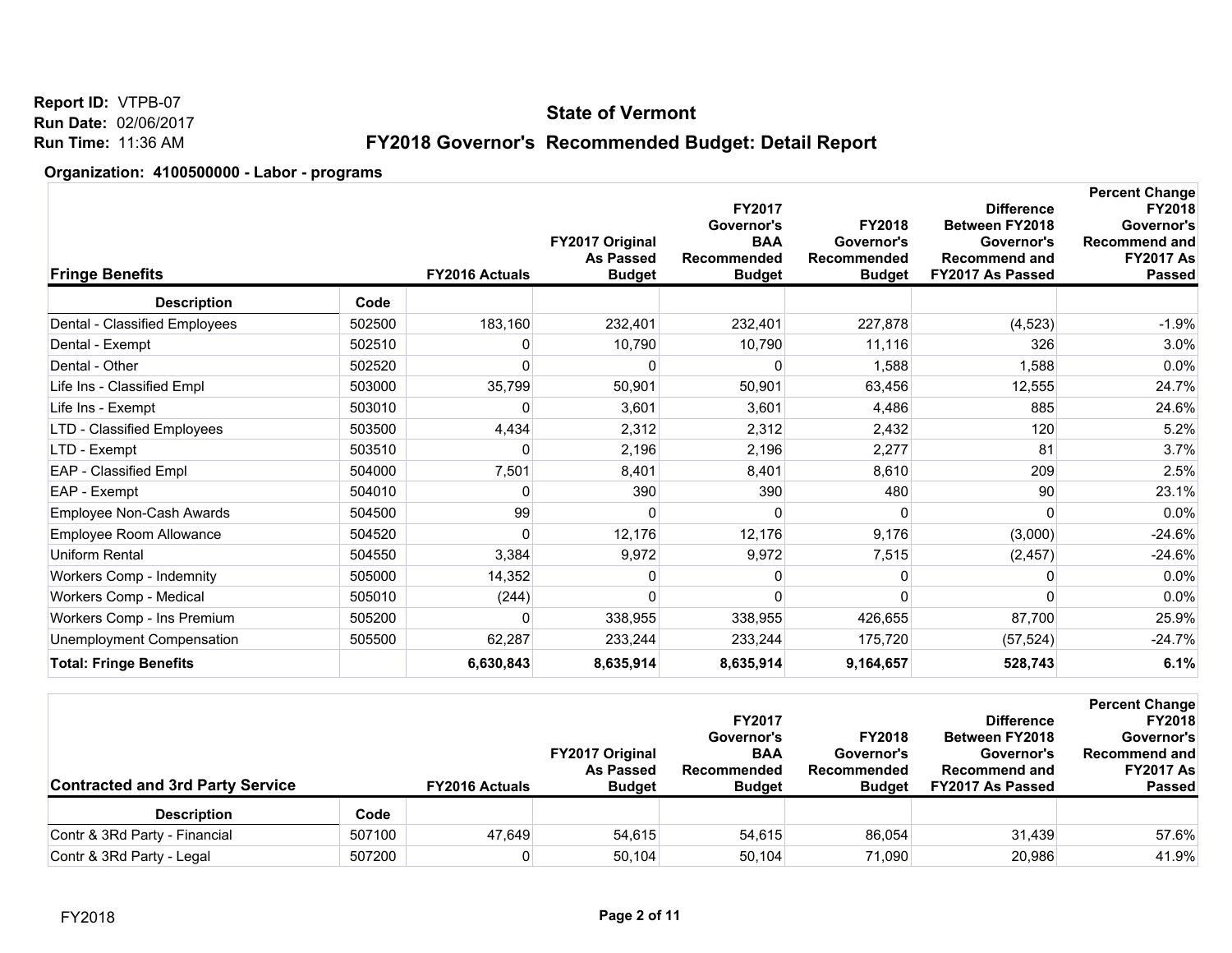**Report ID:** VTPB-07 **Run Date:** 02/06/2017 **Run Time:** 11:36 AM

## **FY2018 Governor's Recommended Budget: Detail Report**

| <b>Fringe Benefits</b>        | <b>FY2016 Actuals</b>  | FY2017 Original<br><b>As Passed</b><br><b>Budget</b> | FY2017<br>Governor's<br><b>BAA</b><br><b>Recommended</b><br><b>Budget</b> | <b>FY2018</b><br>Governor's<br>Recommended<br><b>Budget</b> | <b>Difference</b><br>Between FY2018<br>Governor's<br><b>Recommend and</b><br>FY2017 As Passed | <b>Percent Change</b><br><b>FY2018</b><br>Governor's<br><b>Recommend and</b><br><b>FY2017 As</b><br>Passed |
|-------------------------------|------------------------|------------------------------------------------------|---------------------------------------------------------------------------|-------------------------------------------------------------|-----------------------------------------------------------------------------------------------|------------------------------------------------------------------------------------------------------------|
| <b>Description</b>            | Code                   |                                                      |                                                                           |                                                             |                                                                                               |                                                                                                            |
| Dental - Classified Employees | 183,160<br>502500      | 232,401                                              | 232,401                                                                   | 227,878                                                     | (4, 523)                                                                                      | $-1.9%$                                                                                                    |
| Dental - Exempt               | 502510<br>0            | 10,790                                               | 10,790                                                                    | 11,116                                                      | 326                                                                                           | 3.0%                                                                                                       |
| Dental - Other                | 502520                 | O                                                    | O                                                                         | 1,588                                                       | 1,588                                                                                         | 0.0%                                                                                                       |
| Life Ins - Classified Empl    | 35,799<br>503000       | 50,901                                               | 50,901                                                                    | 63,456                                                      | 12,555                                                                                        | 24.7%                                                                                                      |
| Life Ins - Exempt             | 503010<br>0            | 3,601                                                | 3,601                                                                     | 4,486                                                       | 885                                                                                           | 24.6%                                                                                                      |
| LTD - Classified Employees    | 4,434<br>503500        | 2,312                                                | 2,312                                                                     | 2,432                                                       | 120                                                                                           | 5.2%                                                                                                       |
| LTD - Exempt                  | 503510<br>0            | 2,196                                                | 2,196                                                                     | 2,277                                                       | 81                                                                                            | 3.7%                                                                                                       |
| EAP - Classified Empl         | 504000<br>7,501        | 8,401                                                | 8,401                                                                     | 8,610                                                       | 209                                                                                           | 2.5%                                                                                                       |
| EAP - Exempt                  | 504010<br>0            | 390                                                  | 390                                                                       | 480                                                         | 90                                                                                            | 23.1%                                                                                                      |
| Employee Non-Cash Awards      | 99<br>504500           | 0                                                    | 0                                                                         |                                                             | $\Omega$                                                                                      | 0.0%                                                                                                       |
| Employee Room Allowance       | 504520<br><sup>0</sup> | 12,176                                               | 12,176                                                                    | 9,176                                                       | (3,000)                                                                                       | $-24.6%$                                                                                                   |
| <b>Uniform Rental</b>         | 504550<br>3,384        | 9,972                                                | 9,972                                                                     | 7,515                                                       | (2, 457)                                                                                      | $-24.6%$                                                                                                   |
| Workers Comp - Indemnity      | 505000<br>14,352       |                                                      | ŋ                                                                         |                                                             |                                                                                               | 0.0%                                                                                                       |
| Workers Comp - Medical        | 505010<br>(244)        | $\Omega$                                             | $\Omega$                                                                  |                                                             | $\Omega$                                                                                      | 0.0%                                                                                                       |
| Workers Comp - Ins Premium    | 505200<br>0            | 338,955                                              | 338,955                                                                   | 426,655                                                     | 87,700                                                                                        | 25.9%                                                                                                      |
| Unemployment Compensation     | 505500<br>62,287       | 233,244                                              | 233,244                                                                   | 175,720                                                     | (57, 524)                                                                                     | $-24.7%$                                                                                                   |
| <b>Total: Fringe Benefits</b> | 6,630,843              | 8,635,914                                            | 8,635,914                                                                 | 9,164,657                                                   | 528,743                                                                                       | 6.1%                                                                                                       |

| <b>Contracted and 3rd Party Service</b> |        | <b>FY2016 Actuals</b> | <b>FY2017 Original</b><br><b>As Passed</b><br><b>Budget</b> | <b>FY2017</b><br>Governor's<br><b>BAA</b><br>Recommended<br><b>Budget</b> | <b>FY2018</b><br>Governor's<br>Recommended<br><b>Budget</b> | <b>Difference</b><br><b>Between FY2018</b><br>Governor's<br><b>Recommend and</b><br>FY2017 As Passed | <b>Percent Change</b><br><b>FY2018</b><br>Governor's<br><b>Recommend and</b><br><b>FY2017 As</b><br><b>Passed</b> |
|-----------------------------------------|--------|-----------------------|-------------------------------------------------------------|---------------------------------------------------------------------------|-------------------------------------------------------------|------------------------------------------------------------------------------------------------------|-------------------------------------------------------------------------------------------------------------------|
| <b>Description</b>                      | Code   |                       |                                                             |                                                                           |                                                             |                                                                                                      |                                                                                                                   |
| Contr & 3Rd Party - Financial           | 507100 | 47.649                | 54,615                                                      | 54.615                                                                    | 86.054                                                      | 31.439                                                                                               | 57.6%                                                                                                             |
| Contr & 3Rd Party - Legal               | 507200 |                       | 50.104                                                      | 50,104                                                                    | 71.090                                                      | 20,986                                                                                               | 41.9%                                                                                                             |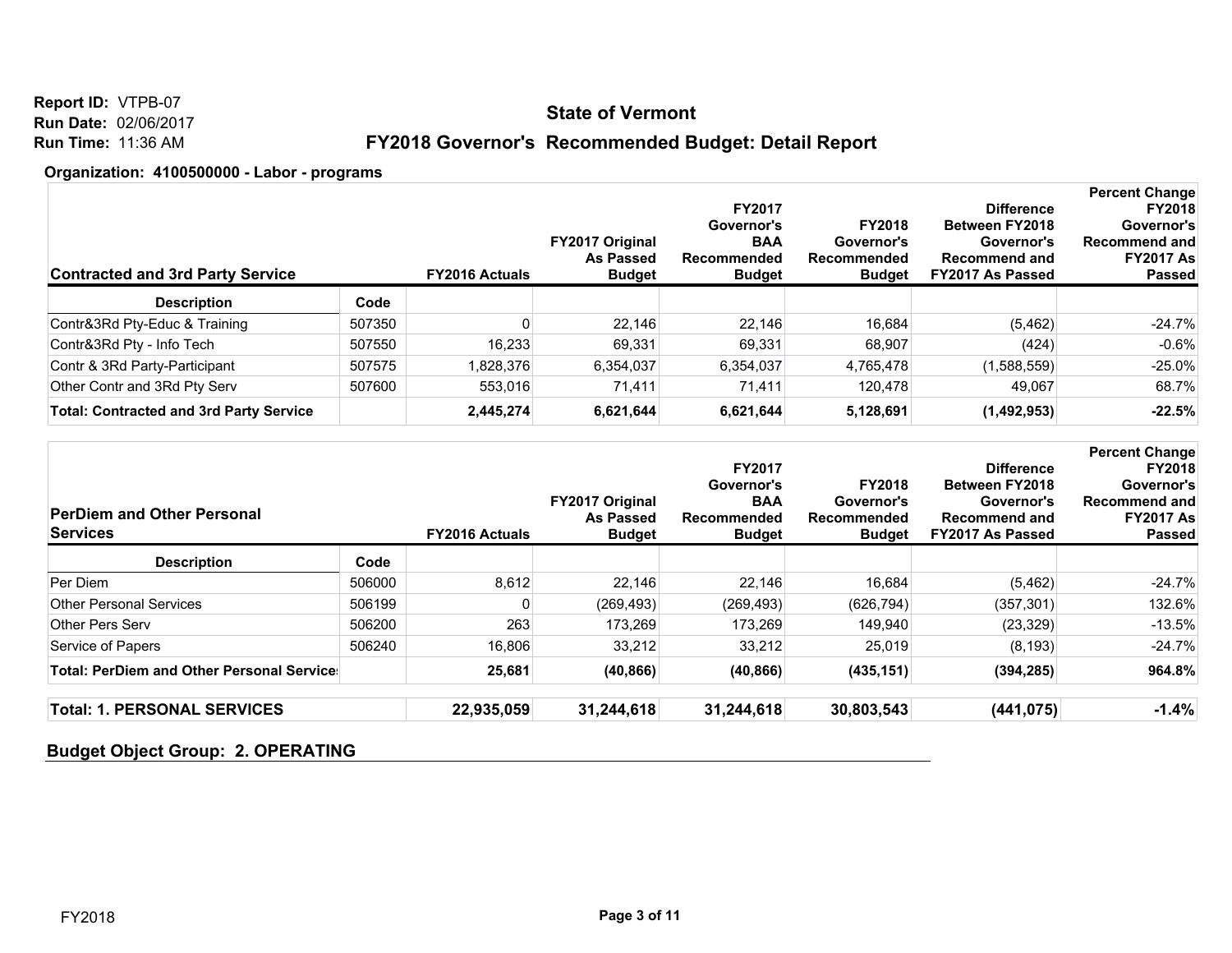**Report ID:** VTPB-07 **Run Date:** 02/06/2017 **Run Time:** 11:36 AM

## **FY2018 Governor's Recommended Budget: Detail Report**

#### **Organization: 4100500000 - Labor - programs**

| <b>Contracted and 3rd Party Service</b>        |        | <b>FY2016 Actuals</b> | <b>FY2017 Original</b><br><b>As Passed</b><br><b>Budget</b> | <b>FY2017</b><br>Governor's<br><b>BAA</b><br>Recommended<br><b>Budget</b> | <b>FY2018</b><br>Governor's<br>Recommended<br><b>Budget</b> | <b>Difference</b><br><b>Between FY2018</b><br>Governor's<br><b>Recommend and</b><br>FY2017 As Passed | <b>Percent Change</b><br><b>FY2018</b><br>Governor's<br>Recommend and<br><b>FY2017 As</b><br><b>Passed</b> |
|------------------------------------------------|--------|-----------------------|-------------------------------------------------------------|---------------------------------------------------------------------------|-------------------------------------------------------------|------------------------------------------------------------------------------------------------------|------------------------------------------------------------------------------------------------------------|
| <b>Description</b>                             | Code   |                       |                                                             |                                                                           |                                                             |                                                                                                      |                                                                                                            |
| Contr&3Rd Pty-Educ & Training                  | 507350 |                       | 22,146                                                      | 22.146                                                                    | 16,684                                                      | (5, 462)                                                                                             | $-24.7%$                                                                                                   |
| Contr&3Rd Pty - Info Tech                      | 507550 | 16.233                | 69,331                                                      | 69,331                                                                    | 68,907                                                      | (424)                                                                                                | $-0.6%$                                                                                                    |
| Contr & 3Rd Party-Participant                  | 507575 | 1,828,376             | 6,354,037                                                   | 6,354,037                                                                 | 4,765,478                                                   | (1,588,559)                                                                                          | $-25.0%$                                                                                                   |
| Other Contr and 3Rd Pty Serv                   | 507600 | 553,016               | 71.411                                                      | 71.411                                                                    | 120,478                                                     | 49.067                                                                                               | 68.7%                                                                                                      |
| <b>Total: Contracted and 3rd Party Service</b> |        | 2,445,274             | 6,621,644                                                   | 6,621,644                                                                 | 5,128,691                                                   | (1,492,953)                                                                                          | $-22.5%$                                                                                                   |

| <b>PerDiem and Other Personal</b><br><b>Services</b> |        | <b>FY2016 Actuals</b> | <b>FY2017 Original</b><br><b>As Passed</b><br><b>Budget</b> | <b>FY2017</b><br>Governor's<br><b>BAA</b><br>Recommended<br><b>Budget</b> | <b>FY2018</b><br>Governor's<br>Recommended<br><b>Budget</b> | <b>Difference</b><br><b>Between FY2018</b><br>Governor's<br>Recommend and<br>FY2017 As Passed | <b>Percent Change</b><br><b>FY2018</b><br>Governor's<br><b>Recommend and</b><br><b>FY2017 As</b><br><b>Passed</b> |
|------------------------------------------------------|--------|-----------------------|-------------------------------------------------------------|---------------------------------------------------------------------------|-------------------------------------------------------------|-----------------------------------------------------------------------------------------------|-------------------------------------------------------------------------------------------------------------------|
| <b>Description</b>                                   | Code   |                       |                                                             |                                                                           |                                                             |                                                                                               |                                                                                                                   |
| Per Diem                                             | 506000 | 8,612                 | 22.146                                                      | 22.146                                                                    | 16,684                                                      | (5, 462)                                                                                      | $-24.7%$                                                                                                          |
| <b>Other Personal Services</b>                       | 506199 |                       | (269, 493)                                                  | (269, 493)                                                                | (626, 794)                                                  | (357, 301)                                                                                    | 132.6%                                                                                                            |
| <b>Other Pers Serv</b>                               | 506200 | 263                   | 173,269                                                     | 173,269                                                                   | 149,940                                                     | (23, 329)                                                                                     | $-13.5%$                                                                                                          |
| Service of Papers                                    | 506240 | 16,806                | 33,212                                                      | 33,212                                                                    | 25,019                                                      | (8, 193)                                                                                      | $-24.7%$                                                                                                          |
| <b>Total: PerDiem and Other Personal Service:</b>    |        | 25,681                | (40, 866)                                                   | (40, 866)                                                                 | (435, 151)                                                  | (394, 285)                                                                                    | 964.8%                                                                                                            |
| <b>Total: 1. PERSONAL SERVICES</b>                   |        | 22,935,059            | 31,244,618                                                  | 31,244,618                                                                | 30,803,543                                                  | (441, 075)                                                                                    | $-1.4%$                                                                                                           |

### **Budget Object Group: 2. OPERATING**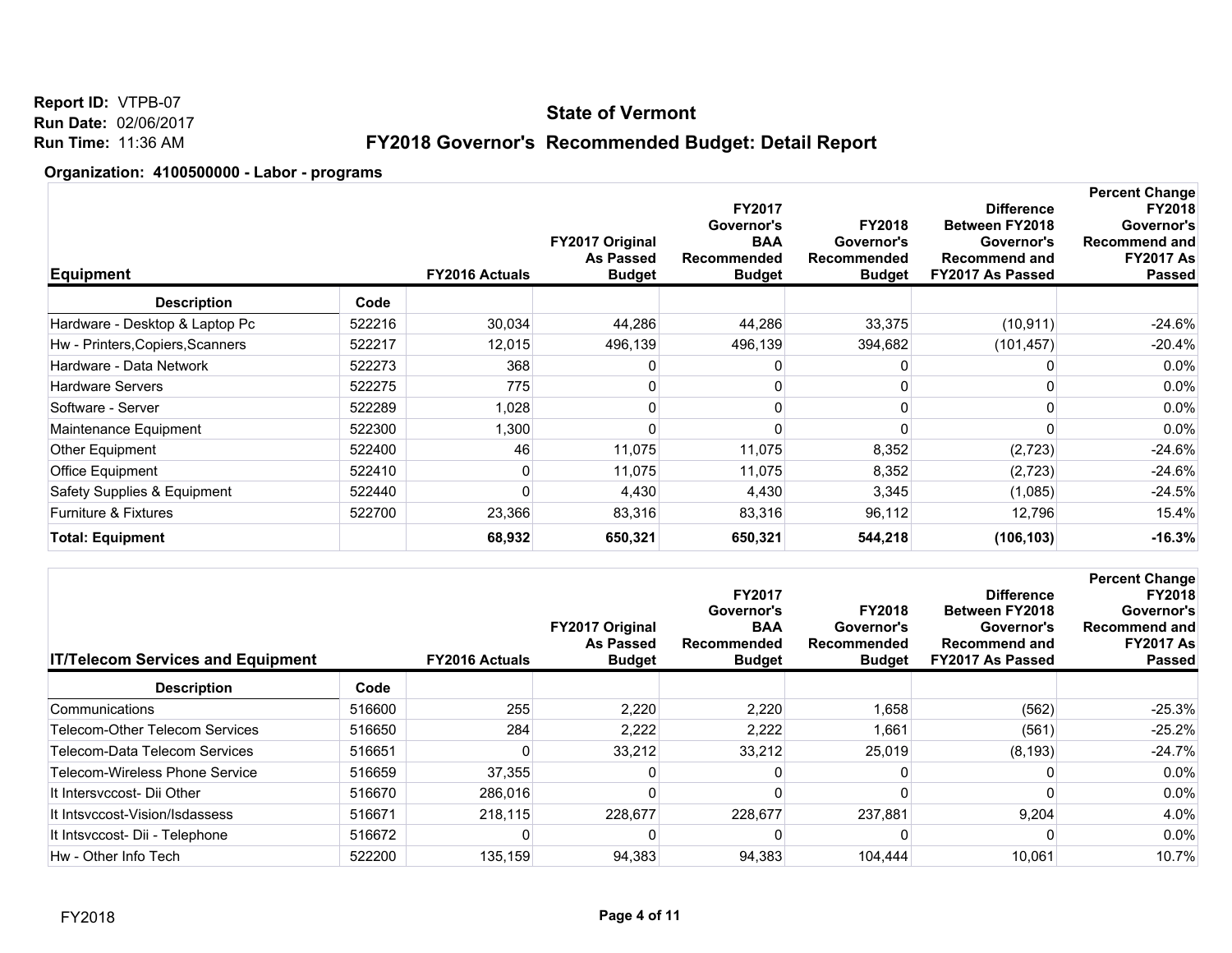**Report ID:** VTPB-07 **Run Date:** 02/06/2017 **Run Time:** 11:36 AM

## **FY2018 Governor's Recommended Budget: Detail Report**

| Equipment                        |        | <b>FY2016 Actuals</b> | FY2017 Original<br><b>As Passed</b><br><b>Budget</b> | <b>FY2017</b><br>Governor's<br><b>BAA</b><br>Recommended<br><b>Budget</b> | <b>FY2018</b><br>Governor's<br>Recommended<br><b>Budget</b> | <b>Difference</b><br><b>Between FY2018</b><br>Governor's<br><b>Recommend and</b><br>FY2017 As Passed | <b>Percent Change</b><br><b>FY2018</b><br>Governor's<br><b>Recommend and</b><br><b>FY2017 As</b><br><b>Passed</b> |
|----------------------------------|--------|-----------------------|------------------------------------------------------|---------------------------------------------------------------------------|-------------------------------------------------------------|------------------------------------------------------------------------------------------------------|-------------------------------------------------------------------------------------------------------------------|
| <b>Description</b>               | Code   |                       |                                                      |                                                                           |                                                             |                                                                                                      |                                                                                                                   |
| Hardware - Desktop & Laptop Pc   | 522216 | 30,034                | 44,286                                               | 44,286                                                                    | 33,375                                                      | (10, 911)                                                                                            | $-24.6%$                                                                                                          |
| Hw - Printers, Copiers, Scanners | 522217 | 12,015                | 496,139                                              | 496,139                                                                   | 394,682                                                     | (101, 457)                                                                                           | $-20.4%$                                                                                                          |
| Hardware - Data Network          | 522273 | 368                   |                                                      | 0                                                                         | 0                                                           |                                                                                                      | $0.0\%$                                                                                                           |
| <b>Hardware Servers</b>          | 522275 | 775                   |                                                      | 0                                                                         |                                                             |                                                                                                      | 0.0%                                                                                                              |
| Software - Server                | 522289 | 1,028                 |                                                      | 0                                                                         |                                                             |                                                                                                      | 0.0%                                                                                                              |
| Maintenance Equipment            | 522300 | 1,300                 |                                                      |                                                                           |                                                             |                                                                                                      | $0.0\%$                                                                                                           |
| Other Equipment                  | 522400 | 46                    | 11,075                                               | 11,075                                                                    | 8,352                                                       | (2, 723)                                                                                             | $-24.6%$                                                                                                          |
| Office Equipment                 | 522410 | 0                     | 11,075                                               | 11,075                                                                    | 8,352                                                       | (2,723)                                                                                              | $-24.6%$                                                                                                          |
| Safety Supplies & Equipment      | 522440 |                       | 4,430                                                | 4,430                                                                     | 3,345                                                       | (1,085)                                                                                              | $-24.5%$                                                                                                          |
| <b>Furniture &amp; Fixtures</b>  | 522700 | 23,366                | 83,316                                               | 83,316                                                                    | 96,112                                                      | 12,796                                                                                               | 15.4%                                                                                                             |
| <b>Total: Equipment</b>          |        | 68,932                | 650,321                                              | 650,321                                                                   | 544,218                                                     | (106, 103)                                                                                           | $-16.3%$                                                                                                          |
|                                  |        |                       |                                                      |                                                                           |                                                             |                                                                                                      |                                                                                                                   |

| <b>IT/Telecom Services and Equipment</b> |        | <b>FY2016 Actuals</b> | <b>FY2017 Original</b><br><b>As Passed</b><br><b>Budget</b> | <b>FY2017</b><br>Governor's<br><b>BAA</b><br>Recommended<br><b>Budget</b> | <b>FY2018</b><br>Governor's<br>Recommended<br><b>Budget</b> | <b>Difference</b><br><b>Between FY2018</b><br>Governor's<br><b>Recommend and</b><br>FY2017 As Passed | <b>Percent Change</b><br><b>FY2018</b><br>Governor's<br>Recommend and<br><b>FY2017 As</b><br><b>Passed</b> |
|------------------------------------------|--------|-----------------------|-------------------------------------------------------------|---------------------------------------------------------------------------|-------------------------------------------------------------|------------------------------------------------------------------------------------------------------|------------------------------------------------------------------------------------------------------------|
| <b>Description</b>                       | Code   |                       |                                                             |                                                                           |                                                             |                                                                                                      |                                                                                                            |
| Communications                           | 516600 | 255                   | 2,220                                                       | 2,220                                                                     | 1,658                                                       | (562)                                                                                                | $-25.3%$                                                                                                   |
| Telecom-Other Telecom Services           | 516650 | 284                   | 2.222                                                       | 2,222                                                                     | 1,661                                                       | (561)                                                                                                | $-25.2%$                                                                                                   |
| Telecom-Data Telecom Services            | 516651 |                       | 33,212                                                      | 33,212                                                                    | 25,019                                                      | (8, 193)                                                                                             | $-24.7%$                                                                                                   |
| Telecom-Wireless Phone Service           | 516659 | 37,355                |                                                             |                                                                           |                                                             |                                                                                                      | $0.0\%$                                                                                                    |
| It Intersyccost- Dii Other               | 516670 | 286,016               |                                                             |                                                                           |                                                             |                                                                                                      | $0.0\%$                                                                                                    |
| It Intsyccost-Vision/Isdassess           | 516671 | 218,115               | 228.677                                                     | 228.677                                                                   | 237.881                                                     | 9,204                                                                                                | 4.0%                                                                                                       |
| It Intsvccost- Dii - Telephone           | 516672 |                       |                                                             |                                                                           |                                                             |                                                                                                      | $0.0\%$                                                                                                    |
| Hw - Other Info Tech                     | 522200 | 135,159               | 94,383                                                      | 94,383                                                                    | 104.444                                                     | 10,061                                                                                               | 10.7%                                                                                                      |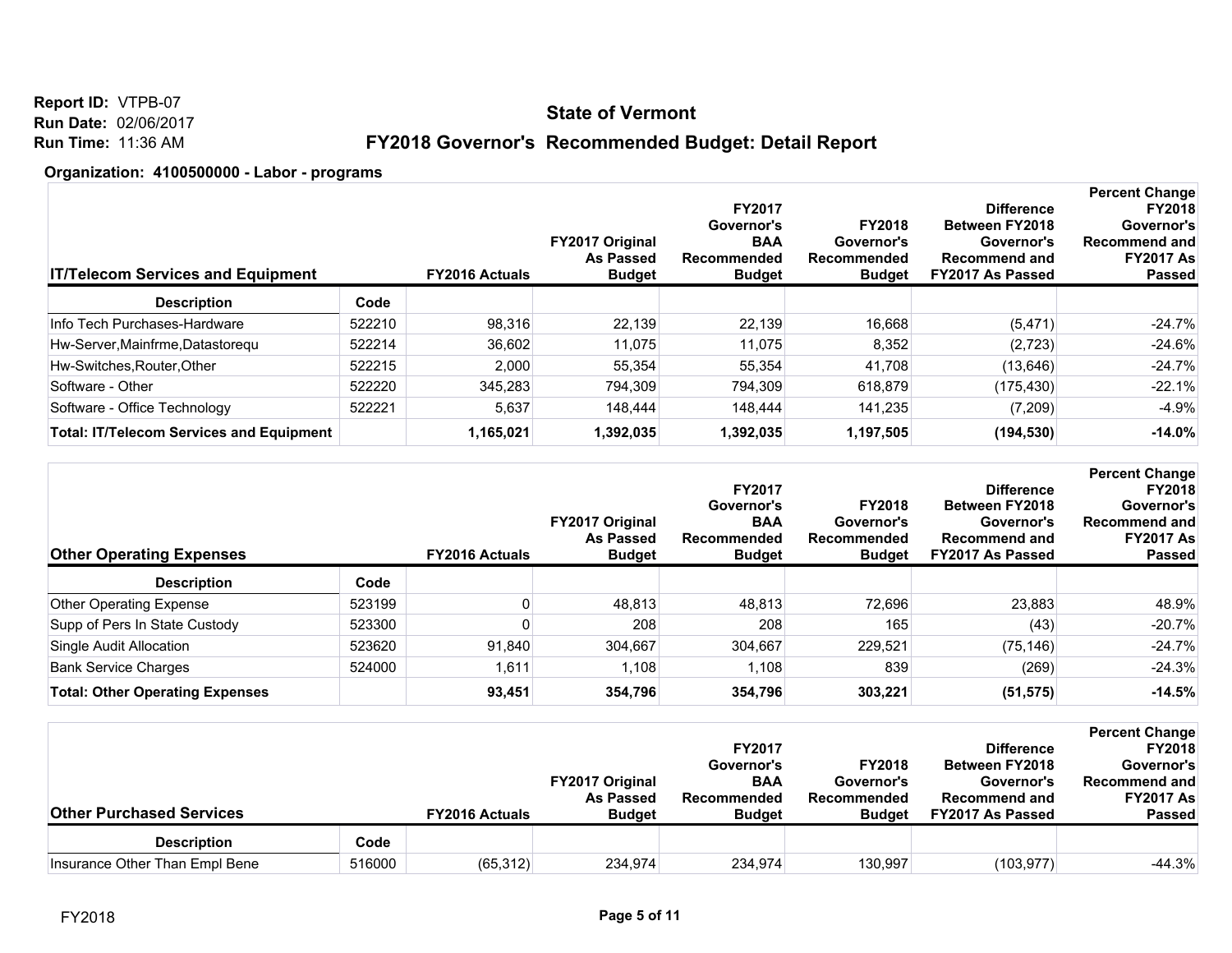**Report ID:** VTPB-07 **Run Date:** 02/06/2017 **Run Time:** 11:36 AM

## **FY2018 Governor's Recommended Budget: Detail Report**

| <b>IT/Telecom Services and Equipment</b>        |        | <b>FY2016 Actuals</b> | <b>FY2017 Original</b><br><b>As Passed</b><br><b>Budget</b> | <b>FY2017</b><br>Governor's<br><b>BAA</b><br>Recommended<br><b>Budget</b> | <b>FY2018</b><br>Governor's<br>Recommended<br><b>Budget</b> | <b>Difference</b><br><b>Between FY2018</b><br>Governor's<br><b>Recommend and</b><br>FY2017 As Passed | <b>Percent Change</b><br><b>FY2018</b><br>Governor's<br>Recommend and<br><b>FY2017 As</b><br><b>Passed</b> |
|-------------------------------------------------|--------|-----------------------|-------------------------------------------------------------|---------------------------------------------------------------------------|-------------------------------------------------------------|------------------------------------------------------------------------------------------------------|------------------------------------------------------------------------------------------------------------|
| <b>Description</b>                              | Code   |                       |                                                             |                                                                           |                                                             |                                                                                                      |                                                                                                            |
| Info Tech Purchases-Hardware                    | 522210 | 98.316                | 22.139                                                      | 22,139                                                                    | 16,668                                                      | (5, 471)                                                                                             | $-24.7%$                                                                                                   |
| Hw-Server, Mainfrme, Datastoregu                | 522214 | 36.602                | 11.075                                                      | 11,075                                                                    | 8,352                                                       | (2,723)                                                                                              | $-24.6%$                                                                                                   |
| Hw-Switches, Router, Other                      | 522215 | 2,000                 | 55,354                                                      | 55,354                                                                    | 41,708                                                      | (13, 646)                                                                                            | $-24.7%$                                                                                                   |
| Software - Other                                | 522220 | 345.283               | 794.309                                                     | 794.309                                                                   | 618.879                                                     | (175, 430)                                                                                           | $-22.1%$                                                                                                   |
| Software - Office Technology                    | 522221 | 5.637                 | 148.444                                                     | 148.444                                                                   | 141.235                                                     | (7,209)                                                                                              | $-4.9%$                                                                                                    |
| <b>Total: IT/Telecom Services and Equipment</b> |        | 1,165,021             | 1,392,035                                                   | 1,392,035                                                                 | 1,197,505                                                   | (194, 530)                                                                                           | $-14.0%$                                                                                                   |

| <b>Other Operating Expenses</b>        |        | <b>FY2016 Actuals</b> | <b>FY2017 Original</b><br><b>As Passed</b><br><b>Budget</b> | <b>FY2017</b><br>Governor's<br><b>BAA</b><br>Recommended<br>Budget | <b>FY2018</b><br>Governor's<br>Recommended<br><b>Budget</b> | <b>Difference</b><br><b>Between FY2018</b><br>Governor's<br><b>Recommend and</b><br><b>FY2017 As Passed</b> | <b>Percent Change</b><br><b>FY2018</b><br>Governor's<br><b>Recommend and</b><br><b>FY2017 As</b><br><b>Passed</b> |
|----------------------------------------|--------|-----------------------|-------------------------------------------------------------|--------------------------------------------------------------------|-------------------------------------------------------------|-------------------------------------------------------------------------------------------------------------|-------------------------------------------------------------------------------------------------------------------|
| <b>Description</b>                     | Code   |                       |                                                             |                                                                    |                                                             |                                                                                                             |                                                                                                                   |
| <b>Other Operating Expense</b>         | 523199 |                       | 48.813                                                      | 48,813                                                             | 72.696                                                      | 23,883                                                                                                      | 48.9%                                                                                                             |
| Supp of Pers In State Custody          | 523300 |                       | 208                                                         | 208                                                                | 165                                                         | (43)                                                                                                        | $-20.7%$                                                                                                          |
| Single Audit Allocation                | 523620 | 91,840                | 304,667                                                     | 304,667                                                            | 229,521                                                     | (75, 146)                                                                                                   | $-24.7%$                                                                                                          |
| <b>Bank Service Charges</b>            | 524000 | 1,611                 | 1,108                                                       | 1,108                                                              | 839                                                         | (269)                                                                                                       | $-24.3%$                                                                                                          |
| <b>Total: Other Operating Expenses</b> |        | 93,451                | 354,796                                                     | 354,796                                                            | 303,221                                                     | (51, 575)                                                                                                   | $-14.5%$                                                                                                          |

| <b>Other Purchased Services</b> |        | <b>FY2016 Actuals</b> | <b>FY2017 Original</b><br><b>As Passed</b><br><b>Budget</b> | <b>FY2017</b><br>Governor's<br><b>BAA</b><br>Recommended<br><b>Budget</b> | <b>FY2018</b><br>Governor's<br>Recommended<br><b>Budget</b> | <b>Difference</b><br><b>Between FY2018</b><br>Governor's<br><b>Recommend and</b><br>FY2017 As Passed | <b>Percent Change</b><br><b>FY2018</b><br>Governor's<br><b>Recommend and</b><br><b>FY2017 As</b><br><b>Passed</b> |
|---------------------------------|--------|-----------------------|-------------------------------------------------------------|---------------------------------------------------------------------------|-------------------------------------------------------------|------------------------------------------------------------------------------------------------------|-------------------------------------------------------------------------------------------------------------------|
| <b>Description</b>              | Code   |                       |                                                             |                                                                           |                                                             |                                                                                                      |                                                                                                                   |
| Insurance Other Than Empl Bene  | 516000 | (65, 312)             | 234,974                                                     | 234,974                                                                   | 130,997                                                     | (103, 977)                                                                                           | $-44.3%$                                                                                                          |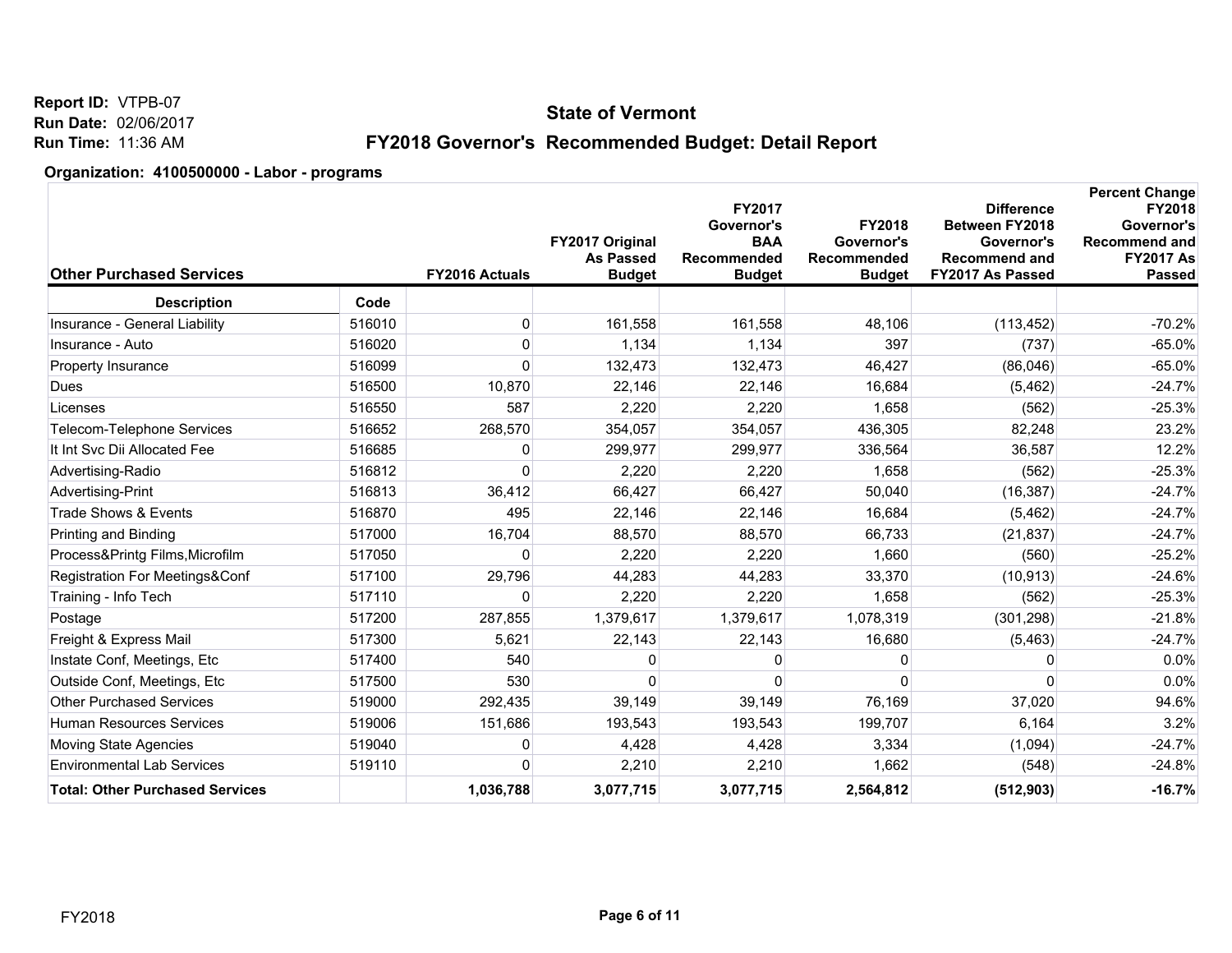**Report ID:** VTPB-07 **Run Date:** 02/06/2017 **Run Time:** 11:36 AM

## **FY2018 Governor's Recommended Budget: Detail Report**

| <b>Other Purchased Services</b>        |        | <b>FY2016 Actuals</b> | FY2017 Original<br><b>As Passed</b><br><b>Budget</b> | FY2017<br>Governor's<br><b>BAA</b><br>Recommended<br><b>Budget</b> | <b>FY2018</b><br>Governor's<br>Recommended<br><b>Budget</b> | <b>Difference</b><br><b>Between FY2018</b><br>Governor's<br>Recommend and<br>FY2017 As Passed | <b>Percent Change</b><br><b>FY2018</b><br>Governor's<br><b>Recommend and</b><br><b>FY2017 As</b><br><b>Passed</b> |
|----------------------------------------|--------|-----------------------|------------------------------------------------------|--------------------------------------------------------------------|-------------------------------------------------------------|-----------------------------------------------------------------------------------------------|-------------------------------------------------------------------------------------------------------------------|
| <b>Description</b>                     | Code   |                       |                                                      |                                                                    |                                                             |                                                                                               |                                                                                                                   |
| Insurance - General Liability          | 516010 | 0                     | 161,558                                              | 161,558                                                            | 48,106                                                      | (113, 452)                                                                                    | $-70.2%$                                                                                                          |
| Insurance - Auto                       | 516020 | 0                     | 1,134                                                | 1,134                                                              | 397                                                         | (737)                                                                                         | $-65.0%$                                                                                                          |
| Property Insurance                     | 516099 | $\Omega$              | 132,473                                              | 132,473                                                            | 46,427                                                      | (86,046)                                                                                      | $-65.0%$                                                                                                          |
| Dues                                   | 516500 | 10,870                | 22,146                                               | 22,146                                                             | 16,684                                                      | (5, 462)                                                                                      | $-24.7%$                                                                                                          |
| Licenses                               | 516550 | 587                   | 2,220                                                | 2,220                                                              | 1,658                                                       | (562)                                                                                         | $-25.3%$                                                                                                          |
| <b>Telecom-Telephone Services</b>      | 516652 | 268,570               | 354,057                                              | 354,057                                                            | 436,305                                                     | 82,248                                                                                        | 23.2%                                                                                                             |
| It Int Svc Dii Allocated Fee           | 516685 | 0                     | 299,977                                              | 299,977                                                            | 336,564                                                     | 36,587                                                                                        | 12.2%                                                                                                             |
| Advertising-Radio                      | 516812 | $\Omega$              | 2,220                                                | 2,220                                                              | 1,658                                                       | (562)                                                                                         | $-25.3%$                                                                                                          |
| Advertising-Print                      | 516813 | 36,412                | 66,427                                               | 66,427                                                             | 50,040                                                      | (16, 387)                                                                                     | $-24.7%$                                                                                                          |
| Trade Shows & Events                   | 516870 | 495                   | 22,146                                               | 22,146                                                             | 16,684                                                      | (5,462)                                                                                       | $-24.7%$                                                                                                          |
| Printing and Binding                   | 517000 | 16,704                | 88,570                                               | 88,570                                                             | 66,733                                                      | (21, 837)                                                                                     | $-24.7%$                                                                                                          |
| Process&Printg Films, Microfilm        | 517050 | 0                     | 2,220                                                | 2,220                                                              | 1.660                                                       | (560)                                                                                         | $-25.2%$                                                                                                          |
| Registration For Meetings&Conf         | 517100 | 29,796                | 44,283                                               | 44,283                                                             | 33,370                                                      | (10, 913)                                                                                     | $-24.6%$                                                                                                          |
| Training - Info Tech                   | 517110 | 0                     | 2,220                                                | 2,220                                                              | 1,658                                                       | (562)                                                                                         | $-25.3%$                                                                                                          |
| Postage                                | 517200 | 287,855               | 1,379,617                                            | 1,379,617                                                          | 1,078,319                                                   | (301, 298)                                                                                    | $-21.8%$                                                                                                          |
| Freight & Express Mail                 | 517300 | 5,621                 | 22,143                                               | 22,143                                                             | 16,680                                                      | (5, 463)                                                                                      | $-24.7%$                                                                                                          |
| Instate Conf, Meetings, Etc            | 517400 | 540                   | 0                                                    | <sup>0</sup>                                                       | 0                                                           | 0                                                                                             | 0.0%                                                                                                              |
| Outside Conf, Meetings, Etc.           | 517500 | 530                   | 0                                                    | ∩                                                                  | 0                                                           | 0                                                                                             | 0.0%                                                                                                              |
| <b>Other Purchased Services</b>        | 519000 | 292,435               | 39,149                                               | 39.149                                                             | 76,169                                                      | 37,020                                                                                        | 94.6%                                                                                                             |
| <b>Human Resources Services</b>        | 519006 | 151,686               | 193,543                                              | 193,543                                                            | 199,707                                                     | 6,164                                                                                         | 3.2%                                                                                                              |
| Moving State Agencies                  | 519040 | 0                     | 4,428                                                | 4,428                                                              | 3,334                                                       | (1,094)                                                                                       | $-24.7%$                                                                                                          |
| <b>Environmental Lab Services</b>      | 519110 | $\Omega$              | 2,210                                                | 2,210                                                              | 1,662                                                       | (548)                                                                                         | $-24.8%$                                                                                                          |
| <b>Total: Other Purchased Services</b> |        | 1,036,788             | 3,077,715                                            | 3,077,715                                                          | 2,564,812                                                   | (512, 903)                                                                                    | $-16.7%$                                                                                                          |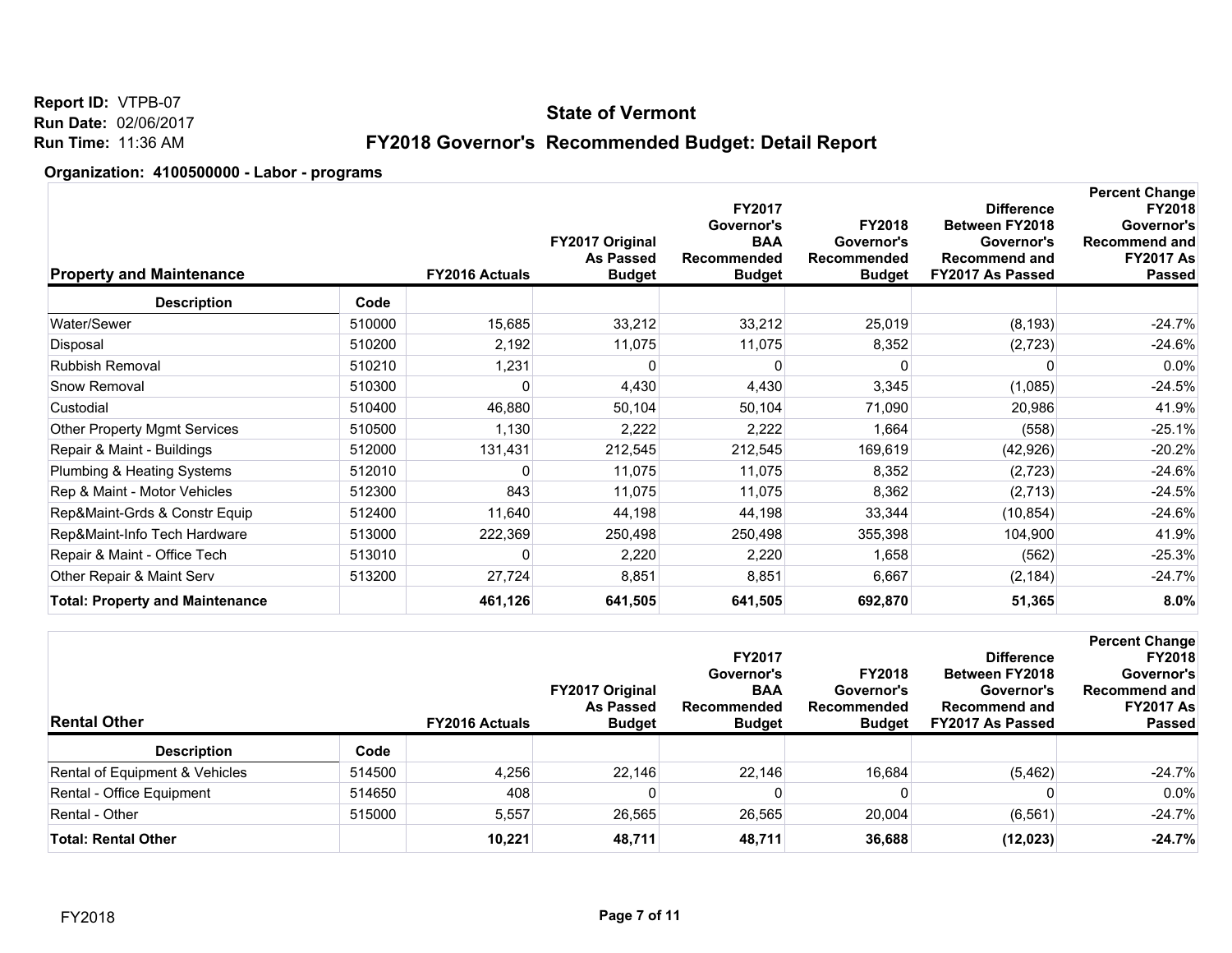**Report ID:** VTPB-07 **Run Date:** 02/06/2017 **Run Time:** 11:36 AM

## **FY2018 Governor's Recommended Budget: Detail Report**

| <b>Property and Maintenance</b>        |        | FY2016 Actuals | FY2017 Original<br><b>As Passed</b><br><b>Budget</b> | FY2017<br>Governor's<br><b>BAA</b><br>Recommended<br><b>Budget</b> | <b>FY2018</b><br>Governor's<br>Recommended<br><b>Budget</b> | <b>Difference</b><br><b>Between FY2018</b><br>Governor's<br><b>Recommend and</b><br>FY2017 As Passed | <b>Percent Change</b><br><b>FY2018</b><br>Governor's<br><b>Recommend and</b><br><b>FY2017 As</b><br><b>Passed</b> |
|----------------------------------------|--------|----------------|------------------------------------------------------|--------------------------------------------------------------------|-------------------------------------------------------------|------------------------------------------------------------------------------------------------------|-------------------------------------------------------------------------------------------------------------------|
| <b>Description</b>                     | Code   |                |                                                      |                                                                    |                                                             |                                                                                                      |                                                                                                                   |
| Water/Sewer                            | 510000 | 15,685         | 33,212                                               | 33,212                                                             | 25,019                                                      | (8, 193)                                                                                             | $-24.7%$                                                                                                          |
| Disposal                               | 510200 | 2,192          | 11,075                                               | 11,075                                                             | 8,352                                                       | (2,723)                                                                                              | $-24.6%$                                                                                                          |
| Rubbish Removal                        | 510210 | 1,231          |                                                      |                                                                    |                                                             | 0                                                                                                    | 0.0%                                                                                                              |
| Snow Removal                           | 510300 | 0              | 4,430                                                | 4,430                                                              | 3,345                                                       | (1,085)                                                                                              | $-24.5%$                                                                                                          |
| Custodial                              | 510400 | 46,880         | 50,104                                               | 50,104                                                             | 71,090                                                      | 20,986                                                                                               | 41.9%                                                                                                             |
| <b>Other Property Mgmt Services</b>    | 510500 | 1,130          | 2,222                                                | 2,222                                                              | 1,664                                                       | (558)                                                                                                | $-25.1%$                                                                                                          |
| Repair & Maint - Buildings             | 512000 | 131,431        | 212,545                                              | 212,545                                                            | 169,619                                                     | (42, 926)                                                                                            | $-20.2%$                                                                                                          |
| Plumbing & Heating Systems             | 512010 | 0              | 11,075                                               | 11,075                                                             | 8,352                                                       | (2,723)                                                                                              | $-24.6%$                                                                                                          |
| Rep & Maint - Motor Vehicles           | 512300 | 843            | 11,075                                               | 11,075                                                             | 8,362                                                       | (2,713)                                                                                              | $-24.5%$                                                                                                          |
| Rep&Maint-Grds & Constr Equip          | 512400 | 11,640         | 44,198                                               | 44,198                                                             | 33,344                                                      | (10, 854)                                                                                            | $-24.6%$                                                                                                          |
| Rep&Maint-Info Tech Hardware           | 513000 | 222,369        | 250,498                                              | 250,498                                                            | 355,398                                                     | 104,900                                                                                              | 41.9%                                                                                                             |
| Repair & Maint - Office Tech           | 513010 | $\Omega$       | 2,220                                                | 2,220                                                              | 1,658                                                       | (562)                                                                                                | $-25.3%$                                                                                                          |
| Other Repair & Maint Serv              | 513200 | 27,724         | 8,851                                                | 8,851                                                              | 6,667                                                       | (2, 184)                                                                                             | $-24.7%$                                                                                                          |
| <b>Total: Property and Maintenance</b> |        | 461,126        | 641,505                                              | 641,505                                                            | 692,870                                                     | 51,365                                                                                               | 8.0%                                                                                                              |
|                                        |        |                |                                                      |                                                                    |                                                             |                                                                                                      |                                                                                                                   |

| <b>Rental Other</b>            |        | <b>FY2016 Actuals</b> | <b>FY2017 Original</b><br><b>As Passed</b><br><b>Budget</b> | <b>FY2017</b><br>Governor's<br><b>BAA</b><br>Recommended<br><b>Budget</b> | <b>FY2018</b><br>Governor's<br>Recommended<br><b>Budget</b> | <b>Difference</b><br><b>Between FY2018</b><br>Governor's<br>Recommend and<br>FY2017 As Passed | <b>Percent Change</b><br><b>FY2018</b><br>Governor's<br><b>Recommend and</b><br><b>FY2017 As</b><br><b>Passed</b> |
|--------------------------------|--------|-----------------------|-------------------------------------------------------------|---------------------------------------------------------------------------|-------------------------------------------------------------|-----------------------------------------------------------------------------------------------|-------------------------------------------------------------------------------------------------------------------|
| <b>Description</b>             | Code   |                       |                                                             |                                                                           |                                                             |                                                                                               |                                                                                                                   |
| Rental of Equipment & Vehicles | 514500 | 4,256                 | 22.146                                                      | 22.146                                                                    | 16,684                                                      | (5, 462)                                                                                      | $-24.7%$                                                                                                          |
| Rental - Office Equipment      | 514650 | 408                   |                                                             | 0                                                                         |                                                             |                                                                                               | $0.0\%$                                                                                                           |
| Rental - Other                 | 515000 | 5,557                 | 26,565                                                      | 26,565                                                                    | 20,004                                                      | (6, 561)                                                                                      | $-24.7%$                                                                                                          |
| <b>Total: Rental Other</b>     |        | 10.221                | 48,711                                                      | 48,711                                                                    | 36,688                                                      | (12, 023)                                                                                     | $-24.7%$                                                                                                          |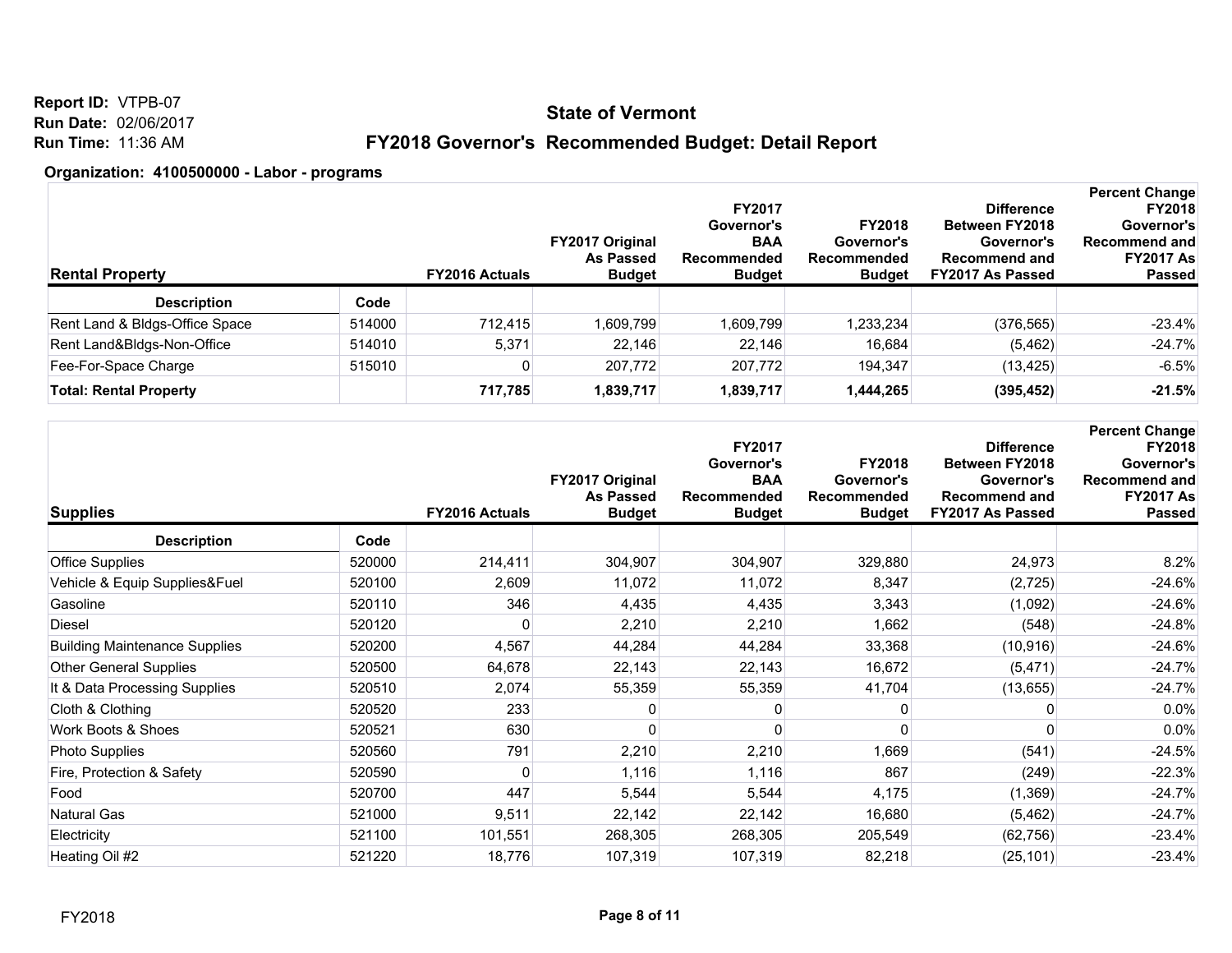**Report ID:** VTPB-07 **Run Date:** 02/06/2017 **Run Time:** 11:36 AM

## **FY2018 Governor's Recommended Budget: Detail Report**

| <b>Rental Property</b>         |        | <b>FY2016 Actuals</b> | <b>FY2017 Original</b><br><b>As Passed</b><br><b>Budget</b> | <b>FY2017</b><br>Governor's<br><b>BAA</b><br>Recommended<br><b>Budget</b> | <b>FY2018</b><br>Governor's<br>Recommended<br><b>Budget</b> | <b>Difference</b><br><b>Between FY2018</b><br>Governor's<br><b>Recommend and</b><br>FY2017 As Passed | <b>Percent Change</b><br><b>FY2018</b><br>Governor's<br>Recommend and<br><b>FY2017 As</b><br><b>Passed</b> |
|--------------------------------|--------|-----------------------|-------------------------------------------------------------|---------------------------------------------------------------------------|-------------------------------------------------------------|------------------------------------------------------------------------------------------------------|------------------------------------------------------------------------------------------------------------|
| <b>Description</b>             | Code   |                       |                                                             |                                                                           |                                                             |                                                                                                      |                                                                                                            |
| Rent Land & Bldgs-Office Space | 514000 | 712,415               | 1,609,799                                                   | 1,609,799                                                                 | 1,233,234                                                   | (376, 565)                                                                                           | $-23.4%$                                                                                                   |
| Rent Land&Bldgs-Non-Office     | 514010 | 5,371                 | 22.146                                                      | 22.146                                                                    | 16,684                                                      | (5, 462)                                                                                             | $-24.7%$                                                                                                   |
| Fee-For-Space Charge           | 515010 |                       | 207,772                                                     | 207,772                                                                   | 194,347                                                     | (13, 425)                                                                                            | $-6.5%$                                                                                                    |
| <b>Total: Rental Property</b>  |        | 717,785               | 1,839,717                                                   | 1,839,717                                                                 | 1,444,265                                                   | (395, 452)                                                                                           | $-21.5%$                                                                                                   |

| <b>Supplies</b>                      |        | <b>FY2016 Actuals</b> | FY2017 Original<br><b>As Passed</b><br><b>Budget</b> | FY2017<br>Governor's<br><b>BAA</b><br>Recommended<br><b>Budget</b> | <b>FY2018</b><br>Governor's<br>Recommended<br><b>Budget</b> | <b>Difference</b><br><b>Between FY2018</b><br>Governor's<br><b>Recommend and</b><br>FY2017 As Passed | <b>Percent Change</b><br>FY2018<br>Governor's<br><b>Recommend and</b><br><b>FY2017 As</b><br><b>Passed</b> |
|--------------------------------------|--------|-----------------------|------------------------------------------------------|--------------------------------------------------------------------|-------------------------------------------------------------|------------------------------------------------------------------------------------------------------|------------------------------------------------------------------------------------------------------------|
| <b>Description</b>                   | Code   |                       |                                                      |                                                                    |                                                             |                                                                                                      |                                                                                                            |
| Office Supplies                      | 520000 | 214,411               | 304,907                                              | 304,907                                                            | 329,880                                                     | 24,973                                                                                               | 8.2%                                                                                                       |
| Vehicle & Equip Supplies&Fuel        | 520100 | 2,609                 | 11,072                                               | 11,072                                                             | 8,347                                                       | (2, 725)                                                                                             | $-24.6%$                                                                                                   |
| Gasoline                             | 520110 | 346                   | 4,435                                                | 4,435                                                              | 3,343                                                       | (1,092)                                                                                              | $-24.6%$                                                                                                   |
| Diesel                               | 520120 | 0                     | 2,210                                                | 2,210                                                              | 1,662                                                       | (548)                                                                                                | $-24.8%$                                                                                                   |
| <b>Building Maintenance Supplies</b> | 520200 | 4,567                 | 44,284                                               | 44,284                                                             | 33,368                                                      | (10, 916)                                                                                            | $-24.6%$                                                                                                   |
| <b>Other General Supplies</b>        | 520500 | 64,678                | 22,143                                               | 22,143                                                             | 16,672                                                      | (5, 471)                                                                                             | $-24.7%$                                                                                                   |
| It & Data Processing Supplies        | 520510 | 2,074                 | 55,359                                               | 55,359                                                             | 41,704                                                      | (13, 655)                                                                                            | $-24.7%$                                                                                                   |
| Cloth & Clothing                     | 520520 | 233                   | 0                                                    | O                                                                  |                                                             |                                                                                                      | 0.0%                                                                                                       |
| Work Boots & Shoes                   | 520521 | 630                   |                                                      | O                                                                  | 0                                                           |                                                                                                      | 0.0%                                                                                                       |
| <b>Photo Supplies</b>                | 520560 | 791                   | 2,210                                                | 2,210                                                              | 1,669                                                       | (541)                                                                                                | $-24.5%$                                                                                                   |
| Fire, Protection & Safety            | 520590 | O                     | 1,116                                                | 1,116                                                              | 867                                                         | (249)                                                                                                | $-22.3%$                                                                                                   |
| Food                                 | 520700 | 447                   | 5,544                                                | 5,544                                                              | 4,175                                                       | (1,369)                                                                                              | $-24.7%$                                                                                                   |
| <b>Natural Gas</b>                   | 521000 | 9,511                 | 22,142                                               | 22,142                                                             | 16,680                                                      | (5, 462)                                                                                             | $-24.7%$                                                                                                   |
| Electricity                          | 521100 | 101,551               | 268,305                                              | 268,305                                                            | 205,549                                                     | (62, 756)                                                                                            | $-23.4%$                                                                                                   |
| Heating Oil #2                       | 521220 | 18,776                | 107,319                                              | 107,319                                                            | 82,218                                                      | (25, 101)                                                                                            | $-23.4%$                                                                                                   |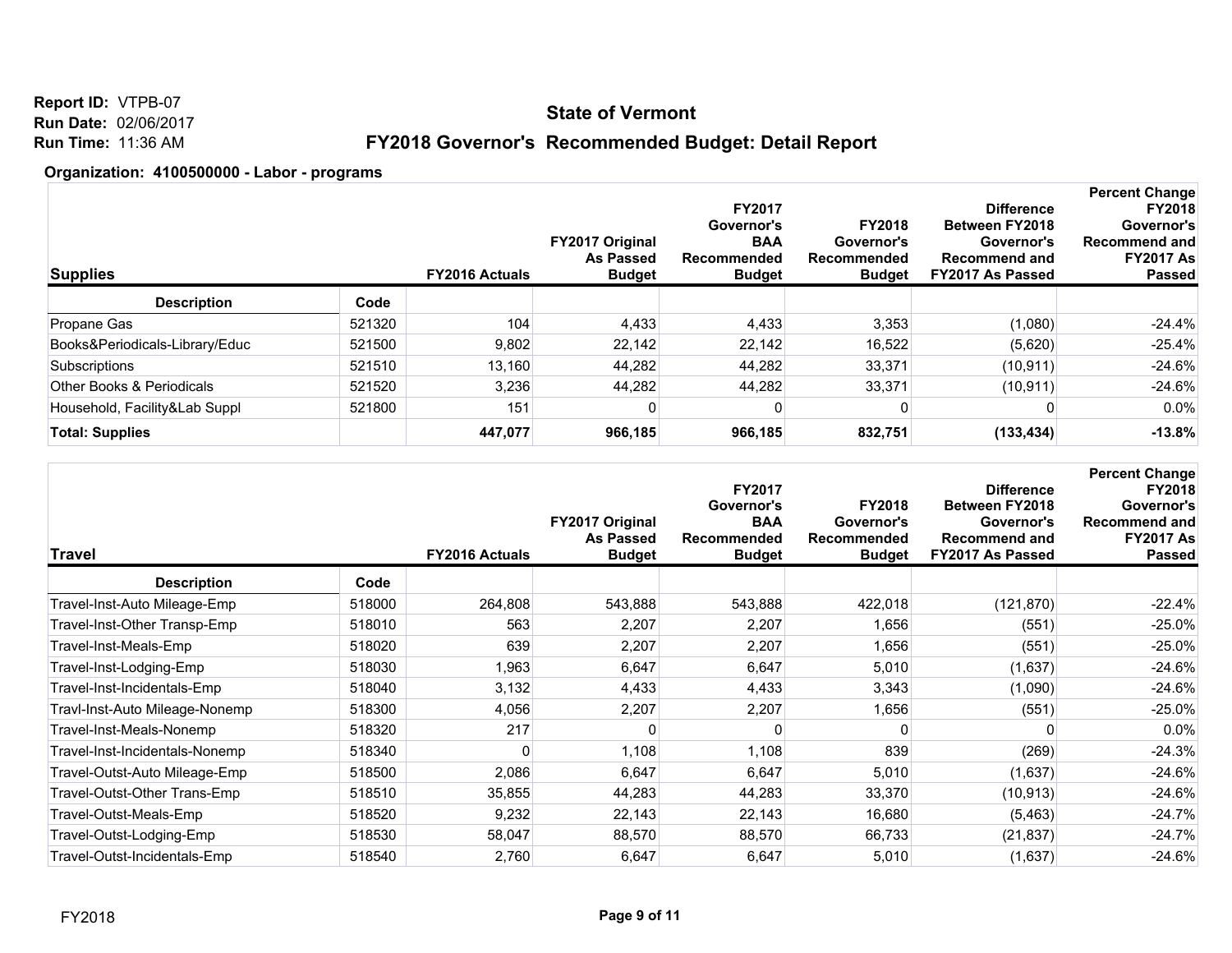**Report ID:** VTPB-07 **Run Date:** 02/06/2017 **Run Time:** 11:36 AM

## **FY2018 Governor's Recommended Budget: Detail Report**

| <b>Supplies</b>                |        | <b>FY2016 Actuals</b> | <b>FY2017 Original</b><br><b>As Passed</b><br><b>Budget</b> | <b>FY2017</b><br>Governor's<br><b>BAA</b><br>Recommended<br><b>Budget</b> | <b>FY2018</b><br>Governor's<br>Recommended<br><b>Budget</b> | <b>Difference</b><br><b>Between FY2018</b><br>Governor's<br><b>Recommend and</b><br>FY2017 As Passed | <b>Percent Change</b><br><b>FY2018</b><br>Governor's<br>Recommend and<br><b>FY2017 As</b><br><b>Passed</b> |
|--------------------------------|--------|-----------------------|-------------------------------------------------------------|---------------------------------------------------------------------------|-------------------------------------------------------------|------------------------------------------------------------------------------------------------------|------------------------------------------------------------------------------------------------------------|
| <b>Description</b>             | Code   |                       |                                                             |                                                                           |                                                             |                                                                                                      |                                                                                                            |
| Propane Gas                    | 521320 | 104                   | 4,433                                                       | 4,433                                                                     | 3,353                                                       | (1,080)                                                                                              | $-24.4%$                                                                                                   |
| Books&Periodicals-Library/Educ | 521500 | 9,802                 | 22,142                                                      | 22.142                                                                    | 16.522                                                      | (5,620)                                                                                              | $-25.4%$                                                                                                   |
| Subscriptions                  | 521510 | 13,160                | 44,282                                                      | 44.282                                                                    | 33,371                                                      | (10, 911)                                                                                            | $-24.6%$                                                                                                   |
| Other Books & Periodicals      | 521520 | 3,236                 | 44,282                                                      | 44,282                                                                    | 33,371                                                      | (10, 911)                                                                                            | $-24.6%$                                                                                                   |
| Household, Facility&Lab Suppl  | 521800 | 151                   |                                                             | 0                                                                         |                                                             |                                                                                                      | $0.0\%$                                                                                                    |
| <b>Total: Supplies</b>         |        | 447,077               | 966,185                                                     | 966,185                                                                   | 832,751                                                     | (133, 434)                                                                                           | $-13.8%$                                                                                                   |

| Travel                         |        | FY2016 Actuals | FY2017 Original<br><b>As Passed</b><br><b>Budget</b> | FY2017<br>Governor's<br><b>BAA</b><br>Recommended<br><b>Budget</b> | <b>FY2018</b><br>Governor's<br>Recommended<br><b>Budget</b> | <b>Difference</b><br>Between FY2018<br>Governor's<br><b>Recommend and</b><br>FY2017 As Passed | <b>Percent Change</b><br><b>FY2018</b><br>Governor's<br><b>Recommend and</b><br><b>FY2017 As</b><br><b>Passed</b> |
|--------------------------------|--------|----------------|------------------------------------------------------|--------------------------------------------------------------------|-------------------------------------------------------------|-----------------------------------------------------------------------------------------------|-------------------------------------------------------------------------------------------------------------------|
| <b>Description</b>             | Code   |                |                                                      |                                                                    |                                                             |                                                                                               |                                                                                                                   |
| Travel-Inst-Auto Mileage-Emp   | 518000 | 264,808        | 543,888                                              | 543,888                                                            | 422,018                                                     | (121, 870)                                                                                    | $-22.4%$                                                                                                          |
| Travel-Inst-Other Transp-Emp   | 518010 | 563            | 2,207                                                | 2,207                                                              | 1,656                                                       | (551)                                                                                         | $-25.0%$                                                                                                          |
| Travel-Inst-Meals-Emp          | 518020 | 639            | 2,207                                                | 2,207                                                              | 1,656                                                       | (551)                                                                                         | $-25.0%$                                                                                                          |
| Travel-Inst-Lodging-Emp        | 518030 | 1,963          | 6,647                                                | 6,647                                                              | 5,010                                                       | (1,637)                                                                                       | $-24.6%$                                                                                                          |
| Travel-Inst-Incidentals-Emp    | 518040 | 3,132          | 4,433                                                | 4,433                                                              | 3,343                                                       | (1,090)                                                                                       | $-24.6%$                                                                                                          |
| Travl-Inst-Auto Mileage-Nonemp | 518300 | 4,056          | 2,207                                                | 2,207                                                              | 1,656                                                       | (551)                                                                                         | $-25.0%$                                                                                                          |
| Travel-Inst-Meals-Nonemp       | 518320 | 217            |                                                      | n                                                                  | $\Omega$                                                    |                                                                                               | 0.0%                                                                                                              |
| Travel-Inst-Incidentals-Nonemp | 518340 |                | 1,108                                                | 1,108                                                              | 839                                                         | (269)                                                                                         | $-24.3%$                                                                                                          |
| Travel-Outst-Auto Mileage-Emp  | 518500 | 2,086          | 6,647                                                | 6,647                                                              | 5,010                                                       | (1,637)                                                                                       | $-24.6%$                                                                                                          |
| Travel-Outst-Other Trans-Emp   | 518510 | 35,855         | 44,283                                               | 44,283                                                             | 33,370                                                      | (10, 913)                                                                                     | $-24.6%$                                                                                                          |
| Travel-Outst-Meals-Emp         | 518520 | 9,232          | 22,143                                               | 22,143                                                             | 16,680                                                      | (5, 463)                                                                                      | $-24.7%$                                                                                                          |
| Travel-Outst-Lodging-Emp       | 518530 | 58,047         | 88,570                                               | 88,570                                                             | 66,733                                                      | (21, 837)                                                                                     | $-24.7%$                                                                                                          |
| Travel-Outst-Incidentals-Emp   | 518540 | 2,760          | 6,647                                                | 6,647                                                              | 5,010                                                       | (1,637)                                                                                       | $-24.6%$                                                                                                          |
|                                |        |                |                                                      |                                                                    |                                                             |                                                                                               |                                                                                                                   |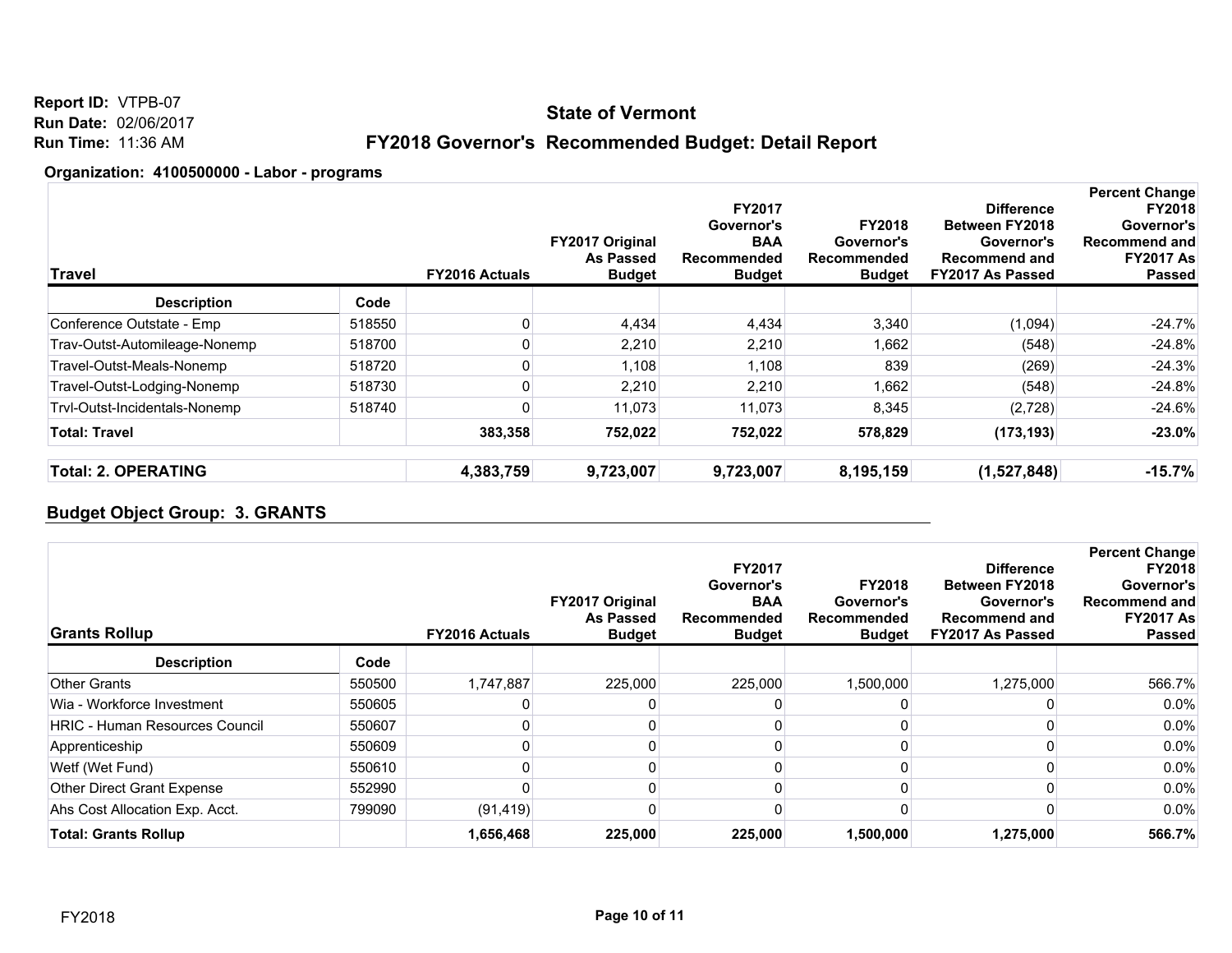**Report ID:** VTPB-07 **Run Date:** 02/06/2017 **Run Time:** 11:36 AM

## **FY2018 Governor's Recommended Budget: Detail Report**

#### **Organization: 4100500000 - Labor - programs**

| <b>Travel</b>                 |        | <b>FY2016 Actuals</b> | FY2017 Original<br>As Passed<br><b>Budget</b> | FY2017<br>Governor's<br><b>BAA</b><br>Recommended<br><b>Budget</b> | <b>FY2018</b><br>Governor's<br>Recommended<br><b>Budget</b> | <b>Difference</b><br><b>Between FY2018</b><br>Governor's<br><b>Recommend and</b><br><b>FY2017 As Passed</b> | <b>Percent Change</b><br><b>FY2018</b><br>Governor's<br>Recommend and<br><b>FY2017 As</b><br>Passed |
|-------------------------------|--------|-----------------------|-----------------------------------------------|--------------------------------------------------------------------|-------------------------------------------------------------|-------------------------------------------------------------------------------------------------------------|-----------------------------------------------------------------------------------------------------|
| <b>Description</b>            | Code   |                       |                                               |                                                                    |                                                             |                                                                                                             |                                                                                                     |
| Conference Outstate - Emp     | 518550 |                       | 4,434                                         | 4,434                                                              | 3,340                                                       | (1,094)                                                                                                     | $-24.7%$                                                                                            |
| Trav-Outst-Automileage-Nonemp | 518700 |                       | 2,210                                         | 2,210                                                              | 1,662                                                       | (548)                                                                                                       | $-24.8%$                                                                                            |
| Travel-Outst-Meals-Nonemp     | 518720 |                       | 1,108                                         | 1,108                                                              | 839                                                         | (269)                                                                                                       | $-24.3%$                                                                                            |
| Travel-Outst-Lodging-Nonemp   | 518730 |                       | 2,210                                         | 2,210                                                              | 1,662                                                       | (548)                                                                                                       | $-24.8%$                                                                                            |
| Trvl-Outst-Incidentals-Nonemp | 518740 |                       | 11,073                                        | 11,073                                                             | 8,345                                                       | (2,728)                                                                                                     | $-24.6%$                                                                                            |
| <b>Total: Travel</b>          |        | 383,358               | 752.022                                       | 752,022                                                            | 578,829                                                     | (173, 193)                                                                                                  | $-23.0%$                                                                                            |
| <b>Total: 2. OPERATING</b>    |        | 4,383,759             | 9,723,007                                     | 9,723,007                                                          | 8,195,159                                                   | (1,527,848)                                                                                                 | $-15.7%$                                                                                            |

### **Budget Object Group: 3. GRANTS**

| <b>Grants Rollup</b>                  |        | <b>FY2016 Actuals</b> | FY2017 Original<br><b>As Passed</b><br><b>Budget</b> | <b>FY2017</b><br>Governor's<br><b>BAA</b><br>Recommended<br><b>Budget</b> | <b>FY2018</b><br>Governor's<br>Recommended<br><b>Budget</b> | <b>Difference</b><br><b>Between FY2018</b><br>Governor's<br><b>Recommend and</b><br>FY2017 As Passed | <b>Percent Change</b><br><b>FY2018</b><br>Governor's<br><b>Recommend and</b><br><b>FY2017 As</b><br><b>Passed</b> |
|---------------------------------------|--------|-----------------------|------------------------------------------------------|---------------------------------------------------------------------------|-------------------------------------------------------------|------------------------------------------------------------------------------------------------------|-------------------------------------------------------------------------------------------------------------------|
| <b>Description</b>                    | Code   |                       |                                                      |                                                                           |                                                             |                                                                                                      |                                                                                                                   |
| <b>Other Grants</b>                   | 550500 | 1,747,887             | 225,000                                              | 225,000                                                                   | 1,500,000                                                   | 1,275,000                                                                                            | 566.7%                                                                                                            |
| Wia - Workforce Investment            | 550605 |                       |                                                      |                                                                           |                                                             |                                                                                                      | $0.0\%$                                                                                                           |
| <b>HRIC - Human Resources Council</b> | 550607 |                       |                                                      |                                                                           |                                                             |                                                                                                      | 0.0%                                                                                                              |
| Apprenticeship                        | 550609 |                       |                                                      |                                                                           |                                                             |                                                                                                      | $0.0\%$                                                                                                           |
| Wetf (Wet Fund)                       | 550610 |                       |                                                      |                                                                           |                                                             |                                                                                                      | $0.0\%$                                                                                                           |
| Other Direct Grant Expense            | 552990 |                       |                                                      |                                                                           |                                                             |                                                                                                      | $0.0\%$                                                                                                           |
| Ahs Cost Allocation Exp. Acct.        | 799090 | (91, 419)             |                                                      |                                                                           |                                                             |                                                                                                      | $0.0\%$                                                                                                           |
| <b>Total: Grants Rollup</b>           |        | 1,656,468             | 225,000                                              | 225,000                                                                   | 1,500,000                                                   | 1,275,000                                                                                            | 566.7%                                                                                                            |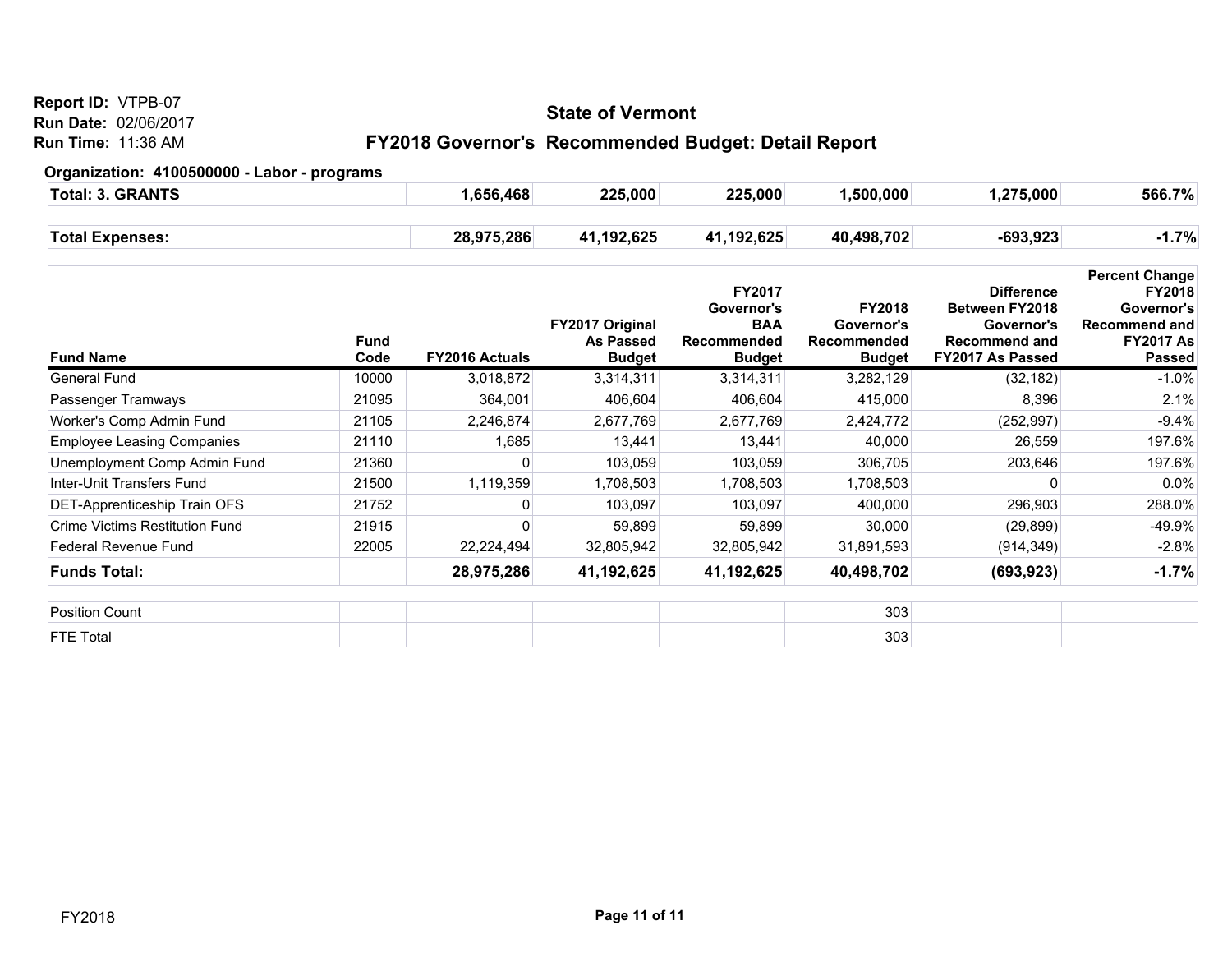#### **Report ID:** VTPB-07

**Run Date:** 02/06/2017

**Run Time:** 11:36 AM

### **State of Vermont**

## **FY2018 Governor's Recommended Budget: Detail Report**

| <b>GRANTS</b><br>Total: 3. | .656.468   | 225,000    | 225,000    | ,500,000   | ,275,000 | 566.7%  |
|----------------------------|------------|------------|------------|------------|----------|---------|
| <b>Total Expenses:</b>     | 28,975,286 | 41,192,625 | 41,192,625 | 40,498,702 | -693,923 | $-1.7%$ |

| <b>Fund Name</b>                  | Fund<br>Code | <b>FY2016 Actuals</b> | <b>FY2017 Original</b><br>As Passed<br><b>Budget</b> | FY2017<br>Governor's<br><b>BAA</b><br>Recommended<br><b>Budget</b> | <b>FY2018</b><br>Governor's<br><b>Recommended</b><br><b>Budget</b> | <b>Difference</b><br><b>Between FY2018</b><br>Governor's<br><b>Recommend and</b><br>FY2017 As Passed | <b>Percent Change</b><br><b>FY2018</b><br>Governor's<br><b>Recommend and</b><br><b>FY2017 As</b><br><b>Passed</b> |
|-----------------------------------|--------------|-----------------------|------------------------------------------------------|--------------------------------------------------------------------|--------------------------------------------------------------------|------------------------------------------------------------------------------------------------------|-------------------------------------------------------------------------------------------------------------------|
| General Fund                      | 10000        | 3,018,872             | 3,314,311                                            | 3,314,311                                                          | 3,282,129                                                          | (32, 182)                                                                                            | $-1.0\%$                                                                                                          |
| Passenger Tramways                | 21095        | 364,001               | 406,604                                              | 406,604                                                            | 415,000                                                            | 8,396                                                                                                | 2.1%                                                                                                              |
| Worker's Comp Admin Fund          | 21105        | 2,246,874             | 2,677,769                                            | 2,677,769                                                          | 2,424,772                                                          | (252, 997)                                                                                           | $-9.4%$                                                                                                           |
| <b>Employee Leasing Companies</b> | 21110        | 1,685                 | 13,441                                               | 13,441                                                             | 40,000                                                             | 26,559                                                                                               | 197.6%                                                                                                            |
| Unemployment Comp Admin Fund      | 21360        |                       | 103,059                                              | 103,059                                                            | 306,705                                                            | 203,646                                                                                              | 197.6%                                                                                                            |
| Inter-Unit Transfers Fund         | 21500        | 1,119,359             | 1,708,503                                            | 1,708,503                                                          | 1,708,503                                                          |                                                                                                      | $0.0\%$                                                                                                           |
| DET-Apprenticeship Train OFS      | 21752        |                       | 103,097                                              | 103,097                                                            | 400,000                                                            | 296,903                                                                                              | 288.0%                                                                                                            |
| Crime Victims Restitution Fund    | 21915        |                       | 59,899                                               | 59,899                                                             | 30,000                                                             | (29, 899)                                                                                            | $-49.9%$                                                                                                          |
| Federal Revenue Fund              | 22005        | 22,224,494            | 32,805,942                                           | 32,805,942                                                         | 31,891,593                                                         | (914, 349)                                                                                           | $-2.8%$                                                                                                           |
| <b>Funds Total:</b>               |              | 28,975,286            | 41,192,625                                           | 41,192,625                                                         | 40,498,702                                                         | (693, 923)                                                                                           | $-1.7%$                                                                                                           |
| <b>Position Count</b>             |              |                       |                                                      |                                                                    | 303                                                                |                                                                                                      |                                                                                                                   |
| <b>FTE Total</b>                  |              |                       |                                                      |                                                                    | 303                                                                |                                                                                                      |                                                                                                                   |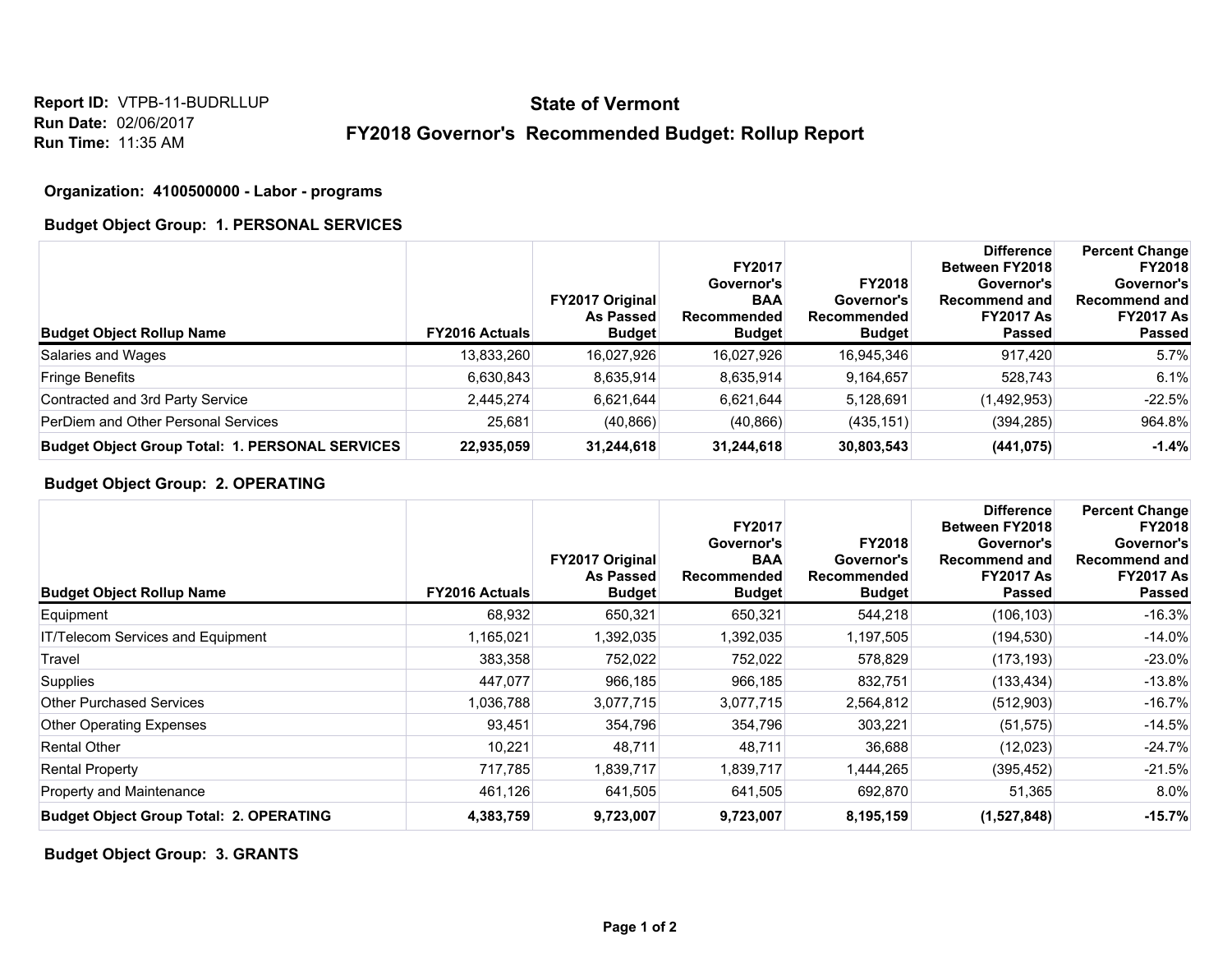### **FY2018 Governor's Recommended Budget: Rollup Report**

#### **Organization: 4100500000 - Labor - programs**

#### **Budget Object Group: 1. PERSONAL SERVICES**

| <b>Budget Object Rollup Name</b>                       | <b>FY2016 Actuals</b> | <b>FY2017 Original</b><br>As Passed<br><b>Budget</b> | <b>FY2017</b><br>Governor's<br><b>BAA</b><br>Recommended<br><b>Budget</b> | <b>FY2018</b><br>Governor's<br>Recommended<br><b>Budget</b> | <b>Difference</b><br><b>Between FY2018</b><br>Governor's<br><b>Recommend and</b><br><b>FY2017 As</b><br><b>Passed</b> | <b>Percent Change</b><br><b>FY2018</b><br>Governor's<br><b>Recommend and</b><br><b>FY2017 As</b><br><b>Passed</b> |
|--------------------------------------------------------|-----------------------|------------------------------------------------------|---------------------------------------------------------------------------|-------------------------------------------------------------|-----------------------------------------------------------------------------------------------------------------------|-------------------------------------------------------------------------------------------------------------------|
| Salaries and Wages                                     | 13,833,260            | 16,027,926                                           | 16,027,926                                                                | 16,945,346                                                  | 917,420                                                                                                               | 5.7%                                                                                                              |
| <b>Fringe Benefits</b>                                 | 6,630,843             | 8,635,914                                            | 8,635,914                                                                 | 9,164,657                                                   | 528,743                                                                                                               | 6.1%                                                                                                              |
| Contracted and 3rd Party Service                       | 2,445,274             | 6,621,644                                            | 6,621,644                                                                 | 5,128,691                                                   | (1,492,953)                                                                                                           | $-22.5%$                                                                                                          |
| PerDiem and Other Personal Services                    | 25,681                | (40, 866)                                            | (40, 866)                                                                 | (435, 151)                                                  | (394, 285)                                                                                                            | 964.8%                                                                                                            |
| <b>Budget Object Group Total: 1. PERSONAL SERVICES</b> | 22,935,059            | 31,244,618                                           | 31,244,618                                                                | 30,803,543                                                  | (441, 075)                                                                                                            | $-1.4%$                                                                                                           |

#### **Budget Object Group: 2. OPERATING**

| <b>Budget Object Rollup Name</b>               | <b>FY2016 Actuals</b> | <b>FY2017 Original</b><br><b>As Passed</b><br><b>Budget</b> | <b>FY2017</b><br>Governor's<br><b>BAA</b><br><b>Recommended</b><br><b>Budget</b> | <b>FY2018</b><br>Governor's<br><b>Recommended</b><br><b>Budget</b> | <b>Difference</b><br>Between FY2018<br>Governor's<br><b>Recommend and</b><br><b>FY2017 As</b><br><b>Passed</b> | <b>Percent Change</b><br><b>FY2018</b><br>Governor's<br><b>Recommend and</b><br><b>FY2017 As</b><br>Passed |
|------------------------------------------------|-----------------------|-------------------------------------------------------------|----------------------------------------------------------------------------------|--------------------------------------------------------------------|----------------------------------------------------------------------------------------------------------------|------------------------------------------------------------------------------------------------------------|
| Equipment                                      | 68,932                | 650,321                                                     | 650,321                                                                          | 544,218                                                            | (106, 103)                                                                                                     | $-16.3%$                                                                                                   |
| IT/Telecom Services and Equipment              | 1,165,021             | 1,392,035                                                   | 1,392,035                                                                        | 1,197,505                                                          | (194, 530)                                                                                                     | $-14.0%$                                                                                                   |
| Travel                                         | 383,358               | 752,022                                                     | 752,022                                                                          | 578,829                                                            | (173, 193)                                                                                                     | $-23.0%$                                                                                                   |
| <b>Supplies</b>                                | 447,077               | 966,185                                                     | 966,185                                                                          | 832,751                                                            | (133, 434)                                                                                                     | $-13.8%$                                                                                                   |
| <b>Other Purchased Services</b>                | 1,036,788             | 3,077,715                                                   | 3,077,715                                                                        | 2,564,812                                                          | (512,903)                                                                                                      | $-16.7%$                                                                                                   |
| <b>Other Operating Expenses</b>                | 93,451                | 354,796                                                     | 354,796                                                                          | 303,221                                                            | (51, 575)                                                                                                      | $-14.5%$                                                                                                   |
| <b>Rental Other</b>                            | 10,221                | 48,711                                                      | 48,711                                                                           | 36,688                                                             | (12,023)                                                                                                       | $-24.7%$                                                                                                   |
| <b>Rental Property</b>                         | 717,785               | 1,839,717                                                   | 1,839,717                                                                        | 1,444,265                                                          | (395, 452)                                                                                                     | $-21.5%$                                                                                                   |
| Property and Maintenance                       | 461,126               | 641,505                                                     | 641,505                                                                          | 692,870                                                            | 51,365                                                                                                         | 8.0%                                                                                                       |
| <b>Budget Object Group Total: 2. OPERATING</b> | 4,383,759             | 9,723,007                                                   | 9,723,007                                                                        | 8,195,159                                                          | (1,527,848)                                                                                                    | $-15.7%$                                                                                                   |

**Budget Object Group: 3. GRANTS**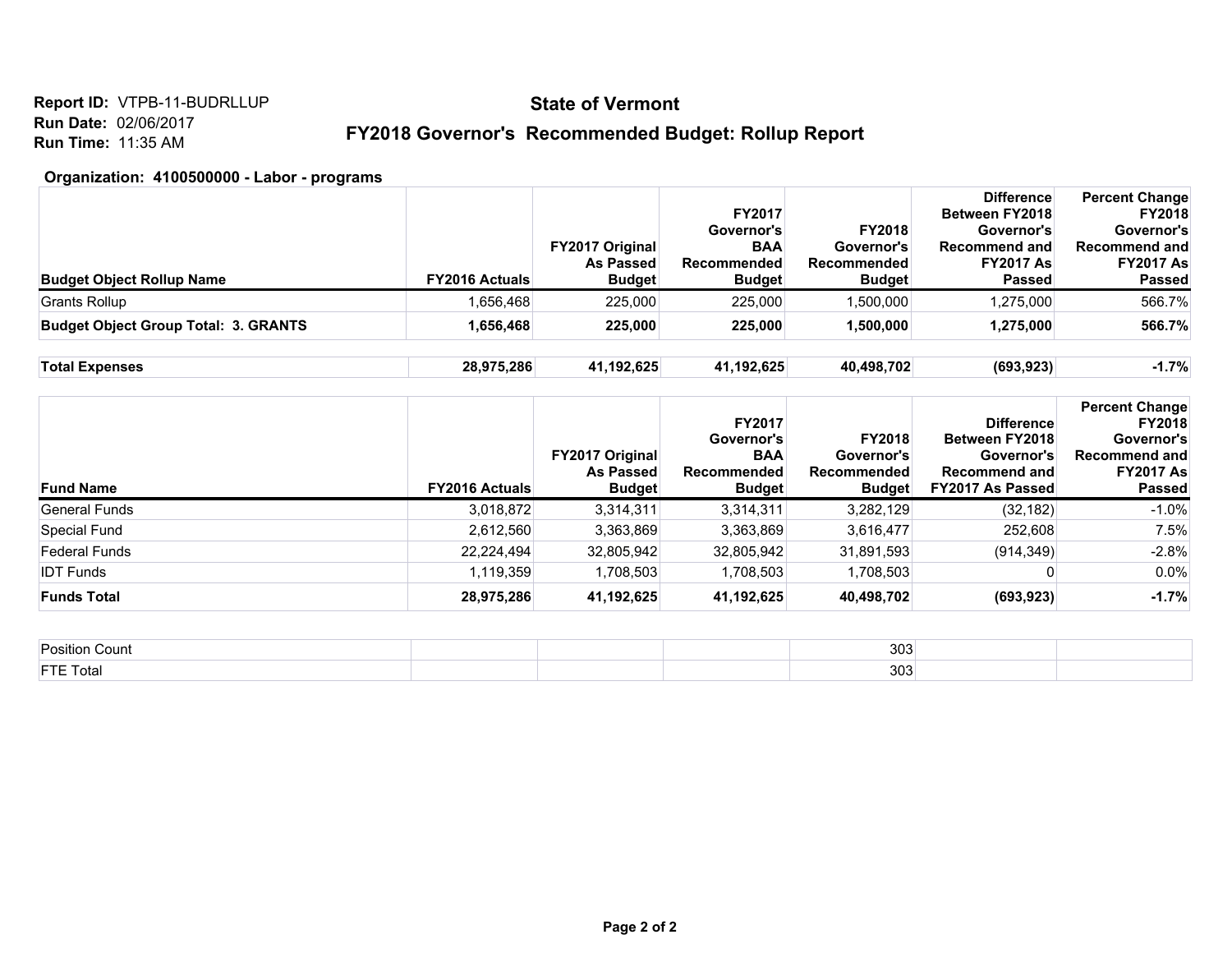**Report ID:** VTPB-11-BUDRLLUP **Run Date:** 02/06/2017 **Run Time:** 11:35 AM

### **FY2018 Governor's Recommended Budget: Rollup Report**

#### **Organization: 4100500000 - Labor - programs**

| <b>Budget Object Rollup Name</b>            | <b>FY2016 Actuals</b> | <b>FY2017 Original</b><br><b>As Passed</b><br><b>Budget</b> | <b>FY2017</b><br>Governor's<br><b>BAA</b><br><b>Recommended</b><br><b>Budget</b> | FY2018<br>Governor's<br>Recommended<br><b>Budget</b>        | <b>Difference</b><br>Between FY2018<br>Governor's<br><b>Recommend and</b><br><b>FY2017 As</b><br>Passed     | <b>Percent Change</b><br><b>FY2018</b><br>Governor's<br><b>Recommend and</b><br><b>FY2017 As</b><br><b>Passed</b> |
|---------------------------------------------|-----------------------|-------------------------------------------------------------|----------------------------------------------------------------------------------|-------------------------------------------------------------|-------------------------------------------------------------------------------------------------------------|-------------------------------------------------------------------------------------------------------------------|
| Grants Rollup                               | 1,656,468             | 225,000                                                     | 225,000                                                                          | 1,500,000                                                   | 1,275,000                                                                                                   | 566.7%                                                                                                            |
| <b>Budget Object Group Total: 3. GRANTS</b> | 1,656,468             | 225,000                                                     | 225,000                                                                          | 1,500,000                                                   | 1,275,000                                                                                                   | 566.7%                                                                                                            |
| <b>Total Expenses</b>                       | 28,975,286            | 41,192,625                                                  | 41,192,625                                                                       | 40,498,702                                                  | (693, 923)                                                                                                  | $-1.7%$                                                                                                           |
| <b>Fund Name</b>                            | <b>FY2016 Actuals</b> | <b>FY2017 Original</b><br>As Passed<br><b>Budget</b>        | FY2017<br>Governor's<br><b>BAA</b><br>Recommended<br><b>Budget</b>               | <b>FY2018</b><br>Governor's<br>Recommended<br><b>Budget</b> | <b>Difference</b><br><b>Between FY2018</b><br>Governor's<br><b>Recommend and</b><br><b>FY2017 As Passed</b> | <b>Percent Change</b><br><b>FY2018</b><br>Governor's<br><b>Recommend and</b><br><b>FY2017 As</b><br>Passed        |
| General Funds                               |                       |                                                             |                                                                                  |                                                             |                                                                                                             |                                                                                                                   |
|                                             | 3,018,872             | 3,314,311                                                   | 3,314,311                                                                        | 3,282,129                                                   | (32, 182)                                                                                                   | $-1.0%$                                                                                                           |
| <b>Special Fund</b>                         | 2,612,560             | 3,363,869                                                   | 3,363,869                                                                        | 3,616,477                                                   | 252,608                                                                                                     | 7.5%                                                                                                              |
| <b>Federal Funds</b>                        | 22,224,494            | 32,805,942                                                  | 32,805,942                                                                       | 31,891,593                                                  | (914, 349)                                                                                                  | $-2.8%$                                                                                                           |

| <b>Position Count</b> | 200<br>ასა      |  |
|-----------------------|-----------------|--|
| <b>FTE Total</b>      | $\Omega$<br>၁ပ. |  |

**Funds Total 28,975,286 41,192,625 41,192,625 40,498,702 (693,923) -1.7%**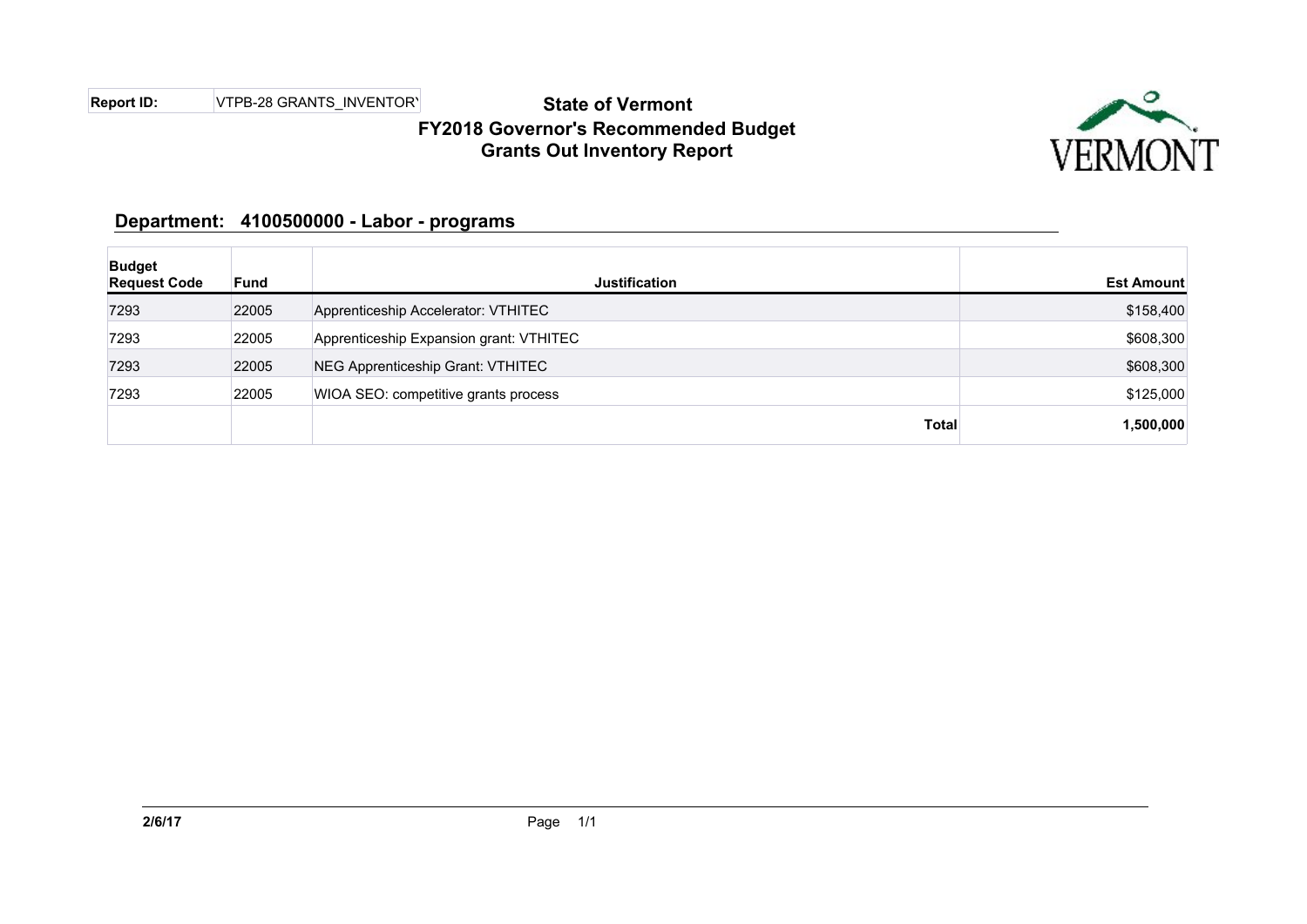**Report ID:** VTPB-28 GRANTS\_INVENTORY

## **State of Vermont FY2018 Governor's Recommended Budget Grants Out Inventory Report**



### **Department: 4100500000 - Labor - programs**

| <b>Budget</b><br><b>Request Code</b> | <b>Fund</b> | <b>Justification</b>                     | <b>Est Amount</b> |
|--------------------------------------|-------------|------------------------------------------|-------------------|
| 7293                                 | 22005       | Apprenticeship Accelerator: VTHITEC      | \$158,400         |
| 7293                                 | 22005       | Apprenticeship Expansion grant: VTHITEC  | \$608,300         |
| 7293                                 | 22005       | <b>NEG Apprenticeship Grant: VTHITEC</b> | \$608,300         |
| 7293                                 | 22005       | WIOA SEO: competitive grants process     | \$125,000         |
|                                      |             | <b>Total</b>                             | 1,500,000         |